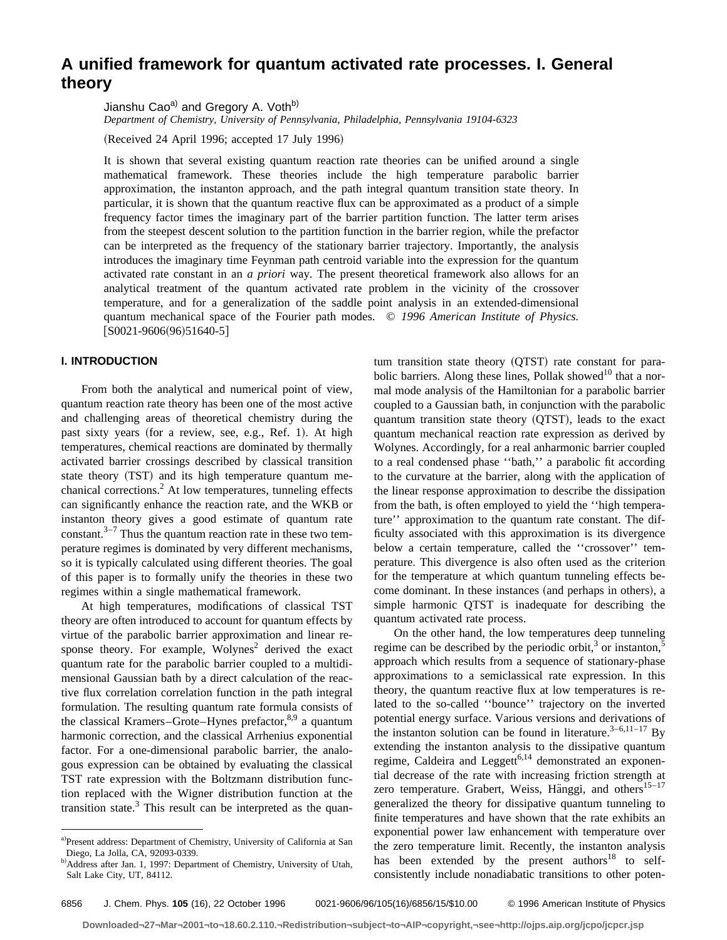# **A unified framework for quantum activated rate processes. I. General theory**

Jianshu Cao<sup>a)</sup> and Gregory A. Voth<sup>b)</sup>

*Department of Chemistry, University of Pennsylvania, Philadelphia, Pennsylvania 19104-6323*

 $(Received 24 April 1996; accepted 17 July 1996)$ 

It is shown that several existing quantum reaction rate theories can be unified around a single mathematical framework. These theories include the high temperature parabolic barrier approximation, the instanton approach, and the path integral quantum transition state theory. In particular, it is shown that the quantum reactive flux can be approximated as a product of a simple frequency factor times the imaginary part of the barrier partition function. The latter term arises from the steepest descent solution to the partition function in the barrier region, while the prefactor can be interpreted as the frequency of the stationary barrier trajectory. Importantly, the analysis introduces the imaginary time Feynman path centroid variable into the expression for the quantum activated rate constant in an *a priori* way. The present theoretical framework also allows for an analytical treatment of the quantum activated rate problem in the vicinity of the crossover temperature, and for a generalization of the saddle point analysis in an extended-dimensional quantum mechanical space of the Fourier path modes. © *1996 American Institute of Physics.*  $[50021-9606(96)51640-5]$ 

# **I. INTRODUCTION**

From both the analytical and numerical point of view, quantum reaction rate theory has been one of the most active and challenging areas of theoretical chemistry during the past sixty years (for a review, see, e.g., Ref. 1). At high temperatures, chemical reactions are dominated by thermally activated barrier crossings described by classical transition state theory (TST) and its high temperature quantum mechanical corrections.<sup>2</sup> At low temperatures, tunneling effects can significantly enhance the reaction rate, and the WKB or instanton theory gives a good estimate of quantum rate constant. $3-7$  Thus the quantum reaction rate in these two temperature regimes is dominated by very different mechanisms, so it is typically calculated using different theories. The goal of this paper is to formally unify the theories in these two regimes within a single mathematical framework.

At high temperatures, modifications of classical TST theory are often introduced to account for quantum effects by virtue of the parabolic barrier approximation and linear response theory. For example,  $Wolynes^2$  derived the exact quantum rate for the parabolic barrier coupled to a multidimensional Gaussian bath by a direct calculation of the reactive flux correlation correlation function in the path integral formulation. The resulting quantum rate formula consists of the classical Kramers–Grote–Hynes prefactor,  $8,9$  a quantum harmonic correction, and the classical Arrhenius exponential factor. For a one-dimensional parabolic barrier, the analogous expression can be obtained by evaluating the classical TST rate expression with the Boltzmann distribution function replaced with the Wigner distribution function at the transition state. $3$  This result can be interpreted as the quantum transition state theory (QTST) rate constant for parabolic barriers. Along these lines, Pollak showed<sup>10</sup> that a normal mode analysis of the Hamiltonian for a parabolic barrier coupled to a Gaussian bath, in conjunction with the parabolic quantum transition state theory (OTST), leads to the exact quantum mechanical reaction rate expression as derived by Wolynes. Accordingly, for a real anharmonic barrier coupled to a real condensed phase ''bath,'' a parabolic fit according to the curvature at the barrier, along with the application of the linear response approximation to describe the dissipation from the bath, is often employed to yield the ''high temperature'' approximation to the quantum rate constant. The difficulty associated with this approximation is its divergence below a certain temperature, called the ''crossover'' temperature. This divergence is also often used as the criterion for the temperature at which quantum tunneling effects become dominant. In these instances (and perhaps in others), a simple harmonic QTST is inadequate for describing the quantum activated rate process.

On the other hand, the low temperatures deep tunneling regime can be described by the periodic orbit, $3$  or instanton, $5$ approach which results from a sequence of stationary-phase approximations to a semiclassical rate expression. In this theory, the quantum reactive flux at low temperatures is related to the so-called ''bounce'' trajectory on the inverted potential energy surface. Various versions and derivations of the instanton solution can be found in literature.<sup>3–6,11–17</sup> By extending the instanton analysis to the dissipative quantum regime, Caldeira and Leggett<sup>6,14</sup> demonstrated an exponential decrease of the rate with increasing friction strength at zero temperature. Grabert, Weiss, Hänggi, and others $15-17$ generalized the theory for dissipative quantum tunneling to finite temperatures and have shown that the rate exhibits an exponential power law enhancement with temperature over the zero temperature limit. Recently, the instanton analysis has been extended by the present authors<sup>18</sup> to selfconsistently include nonadiabatic transitions to other poten-

a)Present address: Department of Chemistry, University of California at San Diego, La Jolla, CA, 92093-0339.

b) Address after Jan. 1, 1997: Department of Chemistry, University of Utah, Salt Lake City, UT, 84112.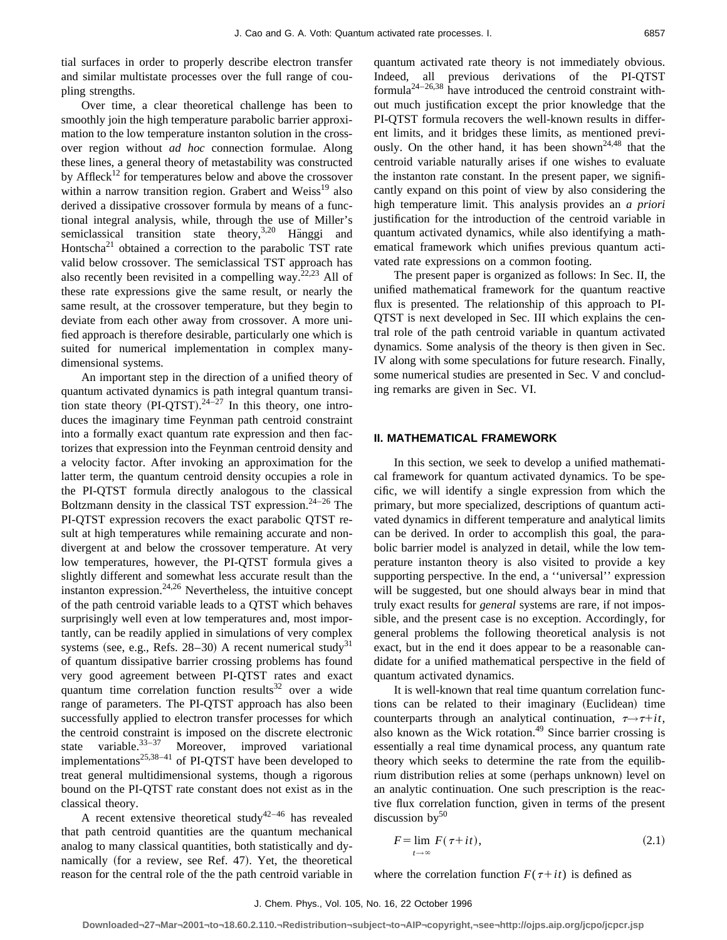tial surfaces in order to properly describe electron transfer and similar multistate processes over the full range of coupling strengths.

Over time, a clear theoretical challenge has been to smoothly join the high temperature parabolic barrier approximation to the low temperature instanton solution in the crossover region without *ad hoc* connection formulae. Along these lines, a general theory of metastability was constructed by Affleck<sup>12</sup> for temperatures below and above the crossover within a narrow transition region. Grabert and Weiss<sup>19</sup> also derived a dissipative crossover formula by means of a functional integral analysis, while, through the use of Miller's semiclassical transition state theory,  $3,20$  Hänggi and Hontscha<sup>21</sup> obtained a correction to the parabolic TST rate valid below crossover. The semiclassical TST approach has also recently been revisited in a compelling way. $22,23$  All of these rate expressions give the same result, or nearly the same result, at the crossover temperature, but they begin to deviate from each other away from crossover. A more unified approach is therefore desirable, particularly one which is suited for numerical implementation in complex manydimensional systems.

An important step in the direction of a unified theory of quantum activated dynamics is path integral quantum transition state theory  $(PI-QTST)$ .<sup>24-27</sup> In this theory, one introduces the imaginary time Feynman path centroid constraint into a formally exact quantum rate expression and then factorizes that expression into the Feynman centroid density and a velocity factor. After invoking an approximation for the latter term, the quantum centroid density occupies a role in the PI-QTST formula directly analogous to the classical Boltzmann density in the classical TST expression.<sup>24–26</sup> The PI-QTST expression recovers the exact parabolic QTST result at high temperatures while remaining accurate and nondivergent at and below the crossover temperature. At very low temperatures, however, the PI-QTST formula gives a slightly different and somewhat less accurate result than the instanton expression. $24,26$  Nevertheless, the intuitive concept of the path centroid variable leads to a QTST which behaves surprisingly well even at low temperatures and, most importantly, can be readily applied in simulations of very complex systems (see, e.g., Refs. 28–30) A recent numerical study<sup>31</sup> of quantum dissipative barrier crossing problems has found very good agreement between PI-QTST rates and exact quantum time correlation function results<sup>32</sup> over a wide range of parameters. The PI-QTST approach has also been successfully applied to electron transfer processes for which the centroid constraint is imposed on the discrete electronic state variable. $33-37$  Moreover, improved variational implementations<sup>25,38–41</sup> of PI-QTST have been developed to treat general multidimensional systems, though a rigorous bound on the PI-QTST rate constant does not exist as in the classical theory.

A recent extensive theoretical study<sup>42–46</sup> has revealed that path centroid quantities are the quantum mechanical analog to many classical quantities, both statistically and dynamically (for a review, see Ref. 47). Yet, the theoretical reason for the central role of the the path centroid variable in quantum activated rate theory is not immediately obvious. Indeed, all previous derivations of the PI-QTST formula<sup>24–26,38</sup> have introduced the centroid constraint without much justification except the prior knowledge that the PI-QTST formula recovers the well-known results in different limits, and it bridges these limits, as mentioned previously. On the other hand, it has been shown<sup>24,48</sup> that the centroid variable naturally arises if one wishes to evaluate the instanton rate constant. In the present paper, we significantly expand on this point of view by also considering the high temperature limit. This analysis provides an *a priori* justification for the introduction of the centroid variable in quantum activated dynamics, while also identifying a mathematical framework which unifies previous quantum activated rate expressions on a common footing.

The present paper is organized as follows: In Sec. II, the unified mathematical framework for the quantum reactive flux is presented. The relationship of this approach to PI-QTST is next developed in Sec. III which explains the central role of the path centroid variable in quantum activated dynamics. Some analysis of the theory is then given in Sec. IV along with some speculations for future research. Finally, some numerical studies are presented in Sec. V and concluding remarks are given in Sec. VI.

### **II. MATHEMATICAL FRAMEWORK**

In this section, we seek to develop a unified mathematical framework for quantum activated dynamics. To be specific, we will identify a single expression from which the primary, but more specialized, descriptions of quantum activated dynamics in different temperature and analytical limits can be derived. In order to accomplish this goal, the parabolic barrier model is analyzed in detail, while the low temperature instanton theory is also visited to provide a key supporting perspective. In the end, a ''universal'' expression will be suggested, but one should always bear in mind that truly exact results for *general* systems are rare, if not impossible, and the present case is no exception. Accordingly, for general problems the following theoretical analysis is not exact, but in the end it does appear to be a reasonable candidate for a unified mathematical perspective in the field of quantum activated dynamics.

It is well-known that real time quantum correlation functions can be related to their imaginary (Euclidean) time counterparts through an analytical continuation,  $\tau \rightarrow \tau + i\tau$ , also known as the Wick rotation.<sup>49</sup> Since barrier crossing is essentially a real time dynamical process, any quantum rate theory which seeks to determine the rate from the equilibrium distribution relies at some (perhaps unknown) level on an analytic continuation. One such prescription is the reactive flux correlation function, given in terms of the present discussion  $bv^{50}$ 

$$
F = \lim_{t \to \infty} F(\tau + it),\tag{2.1}
$$

where the correlation function  $F(\tau+it)$  is defined as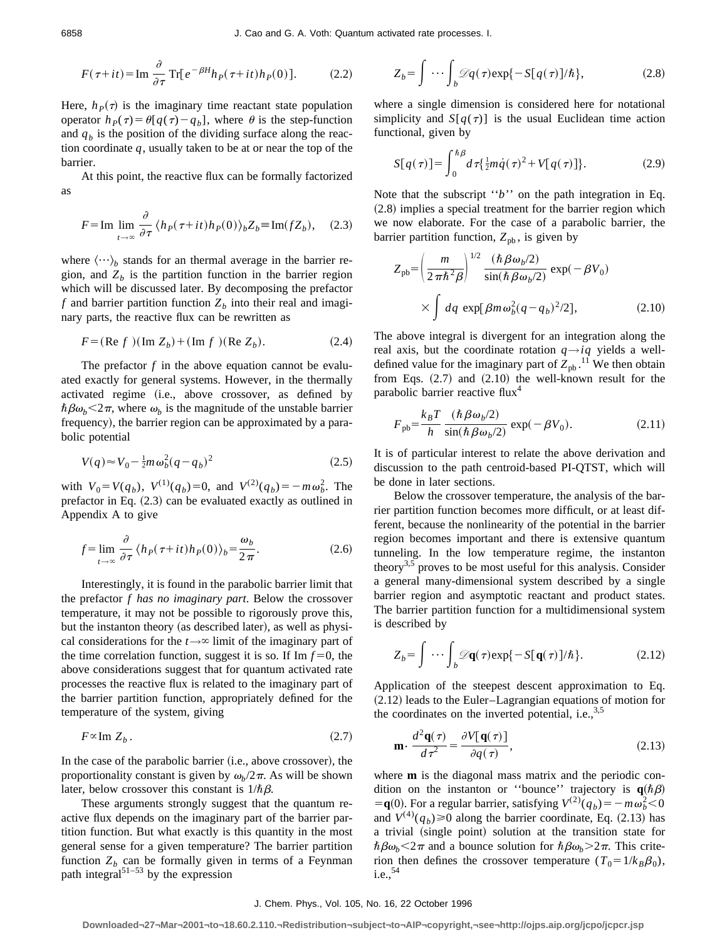6858 J. Cao and G. A. Voth: Quantum activated rate processes. I.

$$
F(\tau + it) = \operatorname{Im} \frac{\partial}{\partial \tau} \operatorname{Tr} \left[ e^{-\beta H} h_P(\tau + it) h_P(0) \right]. \tag{2.2}
$$

Here,  $h<sub>P</sub>(\tau)$  is the imaginary time reactant state population operator  $h_p(\tau) = \theta[q(\tau) - q_b]$ , where  $\theta$  is the step-function and  $q<sub>b</sub>$  is the position of the dividing surface along the reaction coordinate *q*, usually taken to be at or near the top of the barrier.

At this point, the reactive flux can be formally factorized as

$$
F = \text{Im} \lim_{t \to \infty} \frac{\partial}{\partial \tau} \langle h_P(\tau + it) h_P(0) \rangle_b Z_b \equiv \text{Im}(f Z_b), \quad (2.3)
$$

where  $\langle \cdots \rangle_b$  stands for an thermal average in the barrier region, and  $Z<sub>b</sub>$  is the partition function in the barrier region which will be discussed later. By decomposing the prefactor f and barrier partition function  $Z_b$  into their real and imaginary parts, the reactive flux can be rewritten as

$$
F = (\text{Re } f)(\text{Im } Z_b) + (\text{Im } f)(\text{Re } Z_b). \tag{2.4}
$$

The prefactor  $f$  in the above equation cannot be evaluated exactly for general systems. However, in the thermally activated regime (i.e., above crossover, as defined by  $\hbar\beta\omega_b\leq 2\pi$ , where  $\omega_b$  is the magnitude of the unstable barrier frequency), the barrier region can be approximated by a parabolic potential

$$
V(q) \approx V_0 - \frac{1}{2}m\omega_b^2(q - q_b)^2 \tag{2.5}
$$

with  $V_0 = V(q_b)$ ,  $V^{(1)}(q_b) = 0$ , and  $V^{(2)}(q_b) = -m\omega_b^2$ . The prefactor in Eq.  $(2.3)$  can be evaluated exactly as outlined in Appendix A to give

$$
f = \lim_{t \to \infty} \frac{\partial}{\partial \tau} \left\langle h_P(\tau + it) h_P(0) \right\rangle_b = \frac{\omega_b}{2\pi}.
$$
 (2.6)

Interestingly, it is found in the parabolic barrier limit that the prefactor *f has no imaginary part*. Below the crossover temperature, it may not be possible to rigorously prove this, but the instanton theory (as described later), as well as physical considerations for the  $t \rightarrow \infty$  limit of the imaginary part of the time correlation function, suggest it is so. If  $\text{Im } f = 0$ , the above considerations suggest that for quantum activated rate processes the reactive flux is related to the imaginary part of the barrier partition function, appropriately defined for the temperature of the system, giving

$$
F \propto \text{Im } Z_b \,. \tag{2.7}
$$

In the case of the parabolic barrier  $(i.e., above crossover)$ , the proportionality constant is given by  $\omega_b/2\pi$ . As will be shown later, below crossover this constant is  $1/\hbar\beta$ .

These arguments strongly suggest that the quantum reactive flux depends on the imaginary part of the barrier partition function. But what exactly is this quantity in the most general sense for a given temperature? The barrier partition function  $Z_b$  can be formally given in terms of a Feynman path integral<sup>51–53</sup> by the expression

$$
Z_b = \int \cdots \int_b \mathcal{D}q(\tau) \exp\{-S[q(\tau)]/\hbar\},\tag{2.8}
$$

where a single dimension is considered here for notational simplicity and  $S[q(\tau)]$  is the usual Euclidean time action functional, given by

$$
S[q(\tau)] = \int_0^{\hbar \beta} d\tau \{ \frac{1}{2} m \dot{q}(\tau)^2 + V[q(\tau)] \}.
$$
 (2.9)

Note that the subscript "*b*" on the path integration in Eq.  $(2.8)$  implies a special treatment for the barrier region which we now elaborate. For the case of a parabolic barrier, the barrier partition function,  $Z_{\text{pb}}$ , is given by

$$
Z_{\rm pb} = \left(\frac{m}{2\pi\hbar^2\beta}\right)^{1/2} \frac{(\hbar\beta\omega_b/2)}{\sin(\hbar\beta\omega_b/2)} \exp(-\beta V_0)
$$
  
 
$$
\times \int dq \exp[\beta m\omega_b^2 (q - q_b)^2/2], \qquad (2.10)
$$

The above integral is divergent for an integration along the real axis, but the coordinate rotation  $q \rightarrow iq$  yields a welldefined value for the imaginary part of  $Z_{pb}$ .<sup>11</sup> We then obtain from Eqs.  $(2.7)$  and  $(2.10)$  the well-known result for the parabolic barrier reactive flux<sup>4</sup>

$$
F_{\text{pb}} = \frac{k_B T}{h} \frac{(\hbar \beta \omega_b/2)}{\sin(\hbar \beta \omega_b/2)} \exp(-\beta V_0). \tag{2.11}
$$

It is of particular interest to relate the above derivation and discussion to the path centroid-based PI-QTST, which will be done in later sections.

Below the crossover temperature, the analysis of the barrier partition function becomes more difficult, or at least different, because the nonlinearity of the potential in the barrier region becomes important and there is extensive quantum tunneling. In the low temperature regime, the instanton theory<sup>3,5</sup> proves to be most useful for this analysis. Consider a general many-dimensional system described by a single barrier region and asymptotic reactant and product states. The barrier partition function for a multidimensional system is described by

$$
Z_b = \int \cdots \int_b \mathcal{D}\mathbf{q}(\tau) \exp\{-S[\mathbf{q}(\tau)]/\hbar\}.
$$
 (2.12)

Application of the steepest descent approximation to Eq.  $(2.12)$  leads to the Euler–Lagrangian equations of motion for the coordinates on the inverted potential, i.e.,  $3.5$ 

$$
\mathbf{m} \cdot \frac{d^2 \mathbf{q}(\tau)}{d\tau^2} = \frac{\partial V[\mathbf{q}(\tau)]}{\partial q(\tau)},
$$
\n(2.13)

where **m** is the diagonal mass matrix and the periodic condition on the instanton or "bounce" trajectory is  $q(\hbar\beta)$  $\mathbf{q}(0)$ . For a regular barrier, satisfying  $V^{(2)}(q_b) = -m\omega_b^2 < 0$ and  $V^{(4)}(q_b) \ge 0$  along the barrier coordinate, Eq. (2.13) has a trivial (single point) solution at the transition state for  $\hbar\beta\omega_b$ <2 $\pi$  and a bounce solution for  $\hbar\beta\omega_b$ >2 $\pi$ . This criterion then defines the crossover temperature  $(T_0=1/k_B\beta_0)$ , i.e., $54$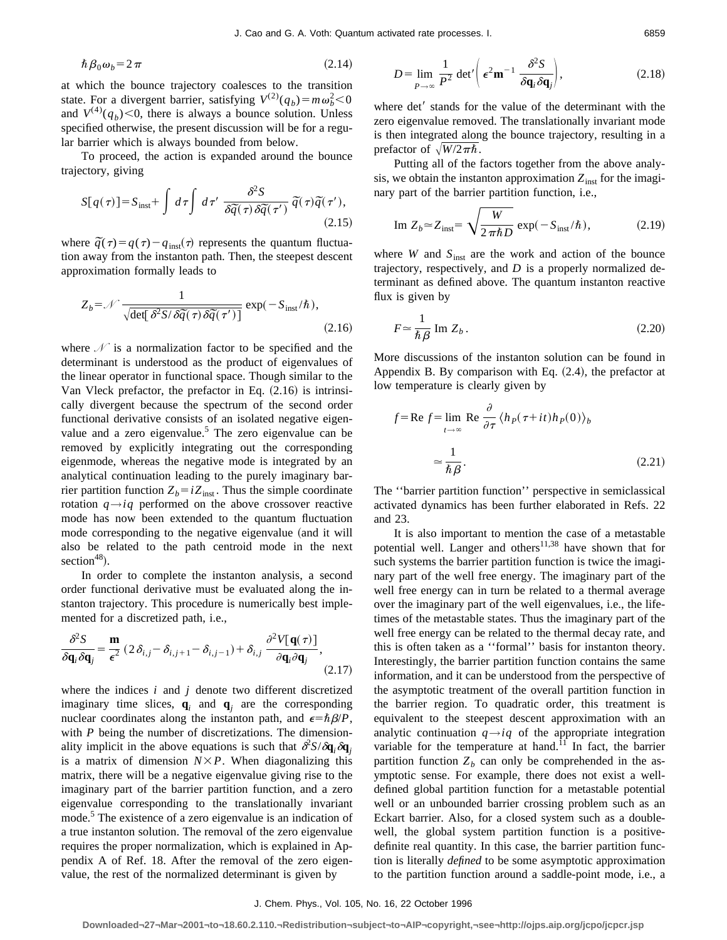$$
\hbar \beta_0 \omega_b = 2 \pi \tag{2.14}
$$

at which the bounce trajectory coalesces to the transition state. For a divergent barrier, satisfying  $V^{(2)}(q_b) = m\omega_b^2 < 0$ and  $V^{(4)}(q_b)$  < 0, there is always a bounce solution. Unless specified otherwise, the present discussion will be for a regular barrier which is always bounded from below.

To proceed, the action is expanded around the bounce trajectory, giving

$$
S[q(\tau)] = S_{\text{inst}} + \int d\tau \int d\tau' \frac{\delta^2 S}{\delta \tilde{q}(\tau) \delta \tilde{q}(\tau')} \tilde{q}(\tau) \tilde{q}(\tau'),
$$
\n(2.15)

where  $\tilde{q}(\tau) = q(\tau) - q_{\text{inst}}(\tau)$  represents the quantum fluctuation away from the instanton path. Then, the steepest descent approximation formally leads to

$$
Z_b = \mathcal{N} \cdot \frac{1}{\sqrt{\det[\delta^2 S/\delta \tilde{q}(\tau)\delta \tilde{q}(\tau')]}} \exp(-S_{\text{inst}}/\hbar),
$$
\n(2.16)

where *N* is a normalization factor to be specified and the determinant is understood as the product of eigenvalues of the linear operator in functional space. Though similar to the Van Vleck prefactor, the prefactor in Eq.  $(2.16)$  is intrinsically divergent because the spectrum of the second order functional derivative consists of an isolated negative eigenvalue and a zero eigenvalue.<sup>5</sup> The zero eigenvalue can be removed by explicitly integrating out the corresponding eigenmode, whereas the negative mode is integrated by an analytical continuation leading to the purely imaginary barrier partition function  $Z_b = iZ_{\text{inst}}$ . Thus the simple coordinate rotation  $q \rightarrow iq$  performed on the above crossover reactive mode has now been extended to the quantum fluctuation mode corresponding to the negative eigenvalue (and it will also be related to the path centroid mode in the next section<sup>48</sup>).

In order to complete the instanton analysis, a second order functional derivative must be evaluated along the instanton trajectory. This procedure is numerically best implemented for a discretized path, i.e.,

$$
\frac{\delta^2 S}{\delta \mathbf{q}_i \delta \mathbf{q}_j} = \frac{\mathbf{m}}{\epsilon^2} \left( 2 \delta_{i,j} - \delta_{i,j+1} - \delta_{i,j-1} \right) + \delta_{i,j} \frac{\partial^2 V[\mathbf{q}(\tau)]}{\partial \mathbf{q}_i \partial \mathbf{q}_j},
$$
\n(2.17)

where the indices *i* and *j* denote two different discretized imaginary time slices,  $q_i$  and  $q_j$  are the corresponding nuclear coordinates along the instanton path, and  $\epsilon = \hbar \beta / P$ , with *P* being the number of discretizations. The dimensionality implicit in the above equations is such that  $\frac{\partial^2 S}{\partial q_i} \frac{\partial q_j}{\partial q_j}$ is a matrix of dimension  $N \times P$ . When diagonalizing this matrix, there will be a negative eigenvalue giving rise to the imaginary part of the barrier partition function, and a zero eigenvalue corresponding to the translationally invariant mode.<sup>5</sup> The existence of a zero eigenvalue is an indication of a true instanton solution. The removal of the zero eigenvalue requires the proper normalization, which is explained in Appendix A of Ref. 18. After the removal of the zero eigenvalue, the rest of the normalized determinant is given by

$$
D = \lim_{P \to \infty} \frac{1}{P^2} \det' \left( \epsilon^2 \mathbf{m}^{-1} \frac{\delta^2 S}{\delta \mathbf{q}_i \delta \mathbf{q}_j} \right), \tag{2.18}
$$

where det' stands for the value of the determinant with the zero eigenvalue removed. The translationally invariant mode is then integrated along the bounce trajectory, resulting in a prefactor of  $\sqrt{W/2\pi\hbar}$ .

Putting all of the factors together from the above analysis, we obtain the instanton approximation  $Z_{inst}$  for the imaginary part of the barrier partition function, i.e.,

Im 
$$
Z_b \simeq Z_{\text{inst}} = \sqrt{\frac{W}{2 \pi \hbar D}} \exp(-S_{\text{inst}}/\hbar)
$$
, (2.19)

where  $W$  and  $S_{inst}$  are the work and action of the bounce trajectory, respectively, and *D* is a properly normalized determinant as defined above. The quantum instanton reactive flux is given by

$$
F \approx \frac{1}{\hbar \beta} \text{ Im } Z_b \,. \tag{2.20}
$$

More discussions of the instanton solution can be found in Appendix B. By comparison with Eq.  $(2.4)$ , the prefactor at low temperature is clearly given by

$$
f = \text{Re } f = \lim_{t \to \infty} \text{Re } \frac{\partial}{\partial \tau} \langle h_P(\tau + it) h_P(0) \rangle_b
$$

$$
\approx \frac{1}{\hbar \beta}.
$$
 (2.21)

The ''barrier partition function'' perspective in semiclassical activated dynamics has been further elaborated in Refs. 22 and 23.

It is also important to mention the case of a metastable potential well. Langer and others<sup>11,38</sup> have shown that for such systems the barrier partition function is twice the imaginary part of the well free energy. The imaginary part of the well free energy can in turn be related to a thermal average over the imaginary part of the well eigenvalues, i.e., the lifetimes of the metastable states. Thus the imaginary part of the well free energy can be related to the thermal decay rate, and this is often taken as a ''formal'' basis for instanton theory. Interestingly, the barrier partition function contains the same information, and it can be understood from the perspective of the asymptotic treatment of the overall partition function in the barrier region. To quadratic order, this treatment is equivalent to the steepest descent approximation with an analytic continuation  $q \rightarrow iq$  of the appropriate integration variable for the temperature at hand.<sup>11</sup> In fact, the barrier partition function  $Z_h$  can only be comprehended in the asymptotic sense. For example, there does not exist a welldefined global partition function for a metastable potential well or an unbounded barrier crossing problem such as an Eckart barrier. Also, for a closed system such as a doublewell, the global system partition function is a positivedefinite real quantity. In this case, the barrier partition function is literally *defined* to be some asymptotic approximation to the partition function around a saddle-point mode, i.e., a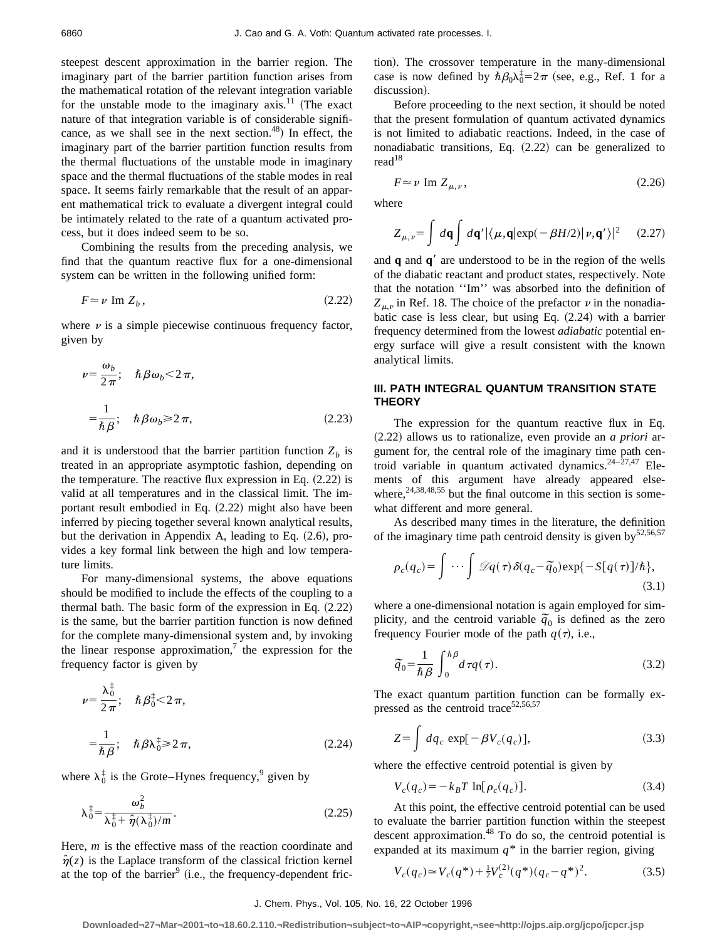steepest descent approximation in the barrier region. The imaginary part of the barrier partition function arises from the mathematical rotation of the relevant integration variable for the unstable mode to the imaginary  $axis.<sup>11</sup>$  (The exact nature of that integration variable is of considerable significance, as we shall see in the next section. $48$  In effect, the imaginary part of the barrier partition function results from the thermal fluctuations of the unstable mode in imaginary space and the thermal fluctuations of the stable modes in real space. It seems fairly remarkable that the result of an apparent mathematical trick to evaluate a divergent integral could be intimately related to the rate of a quantum activated process, but it does indeed seem to be so.

Combining the results from the preceding analysis, we find that the quantum reactive flux for a one-dimensional system can be written in the following unified form:

$$
F \simeq \nu \text{ Im } Z_b, \qquad (2.22)
$$

where  $\nu$  is a simple piecewise continuous frequency factor, given by

$$
\nu = \frac{\omega_b}{2\pi}; \quad \hbar \beta \omega_b < 2\pi,
$$
  

$$
= \frac{1}{\hbar \beta}; \quad \hbar \beta \omega_b \ge 2\pi,
$$
 (2.23)

and it is understood that the barrier partition function  $Z_b$  is treated in an appropriate asymptotic fashion, depending on the temperature. The reactive flux expression in Eq.  $(2.22)$  is valid at all temperatures and in the classical limit. The important result embodied in Eq.  $(2.22)$  might also have been inferred by piecing together several known analytical results, but the derivation in Appendix A, leading to Eq.  $(2.6)$ , provides a key formal link between the high and low temperature limits.

For many-dimensional systems, the above equations should be modified to include the effects of the coupling to a thermal bath. The basic form of the expression in Eq.  $(2.22)$ is the same, but the barrier partition function is now defined for the complete many-dimensional system and, by invoking the linear response approximation, $\frac{7}{1}$  the expression for the frequency factor is given by

$$
\nu = \frac{\lambda_0^{\ddagger}}{2\pi}; \quad \hbar \beta_0^{\dagger} < 2\pi,
$$
  

$$
= \frac{1}{\hbar \beta}; \quad \hbar \beta \lambda_0^{\dagger} \ge 2\pi,
$$
 (2.24)

where  $\lambda_0^{\ddagger}$  is the Grote–Hynes frequency,<sup>9</sup> given by

$$
\lambda_0^{\ddagger} = \frac{\omega_b^2}{\lambda_0^{\ddagger} + \hat{\eta}(\lambda_0^{\ddagger})/m}.
$$
\n(2.25)

Here, *m* is the effective mass of the reaction coordinate and  $\hat{\eta}(z)$  is the Laplace transform of the classical friction kernel at the top of the barrier<sup>9</sup> (i.e., the frequency-dependent friction). The crossover temperature in the many-dimensional case is now defined by  $\hbar \beta_0 \lambda_0^{\dagger} = 2\pi$  (see, e.g., Ref. 1 for a discussion).

Before proceeding to the next section, it should be noted that the present formulation of quantum activated dynamics is not limited to adiabatic reactions. Indeed, in the case of nonadiabatic transitions, Eq.  $(2.22)$  can be generalized to  $read<sup>18</sup>$ 

$$
F \simeq \nu \text{ Im } Z_{\mu,\nu},\tag{2.26}
$$

where

$$
Z_{\mu,\nu} = \int d\mathbf{q} \int d\mathbf{q}' |\langle \mu, \mathbf{q} | \exp(-\beta H/2) | \nu, \mathbf{q}' \rangle|^2 \qquad (2.27)
$$

and  $q$  and  $q'$  are understood to be in the region of the wells of the diabatic reactant and product states, respectively. Note that the notation ''Im'' was absorbed into the definition of  $Z_{\mu,\nu}$  in Ref. 18. The choice of the prefactor  $\nu$  in the nonadiabatic case is less clear, but using Eq.  $(2.24)$  with a barrier frequency determined from the lowest *adiabatic* potential energy surface will give a result consistent with the known analytical limits.

# **III. PATH INTEGRAL QUANTUM TRANSITION STATE THEORY**

The expression for the quantum reactive flux in Eq. ~2.22! allows us to rationalize, even provide an *a priori* argument for, the central role of the imaginary time path centroid variable in quantum activated dynamics.<sup>24–27,47</sup> Elements of this argument have already appeared elsewhere, $24,38,48,55$  but the final outcome in this section is somewhat different and more general.

As described many times in the literature, the definition of the imaginary time path centroid density is given by  $52,56,57$ 

$$
\rho_c(q_c) = \int \cdots \int \mathcal{D}q(\tau) \delta(q_c - \widetilde{q}_0) \exp\{-S[q(\tau)]/\hbar\},\tag{3.1}
$$

where a one-dimensional notation is again employed for simwhere a one-dimensional notation is again employed for simplicity, and the centroid variable  $\tilde{q}_0$  is defined as the zero frequency Fourier mode of the path  $q(\tau)$ , i.e.,

$$
\widetilde{q}_0 = \frac{1}{\hbar \beta} \int_0^{\hbar \beta} d\tau q(\tau). \tag{3.2}
$$

The exact quantum partition function can be formally expressed as the centroid trace<sup>52,56,57</sup>

$$
Z = \int dq_c \exp[-\beta V_c(q_c)], \qquad (3.3)
$$

where the effective centroid potential is given by

$$
V_c(q_c) = -k_B T \ln[\rho_c(q_c)]. \tag{3.4}
$$

At this point, the effective centroid potential can be used to evaluate the barrier partition function within the steepest descent approximation.<sup>48</sup> To do so, the centroid potential is expanded at its maximum  $q^*$  in the barrier region, giving

$$
V_c(q_c) \approx V_c(q^*) + \frac{1}{2} V_c^{(2)}(q^*) (q_c - q^*)^2. \tag{3.5}
$$

#### J. Chem. Phys., Vol. 105, No. 16, 22 October 1996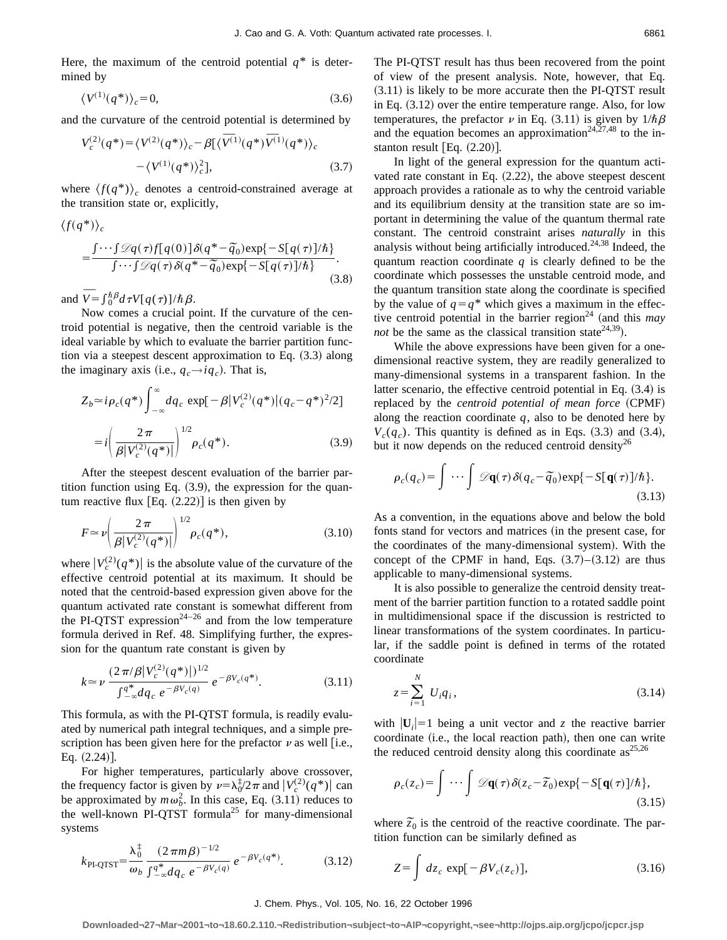Here, the maximum of the centroid potential  $q^*$  is determined by

$$
\langle V^{(1)}(q^*)\rangle_c = 0,\tag{3.6}
$$

and the curvature of the centroid potential is determined by

$$
V_c^{(2)}(q^*) = \langle V^{(2)}(q^*) \rangle_c - \beta \left[ \langle \overline{V}^{(1)}(q^*) \overline{V}^{(1)}(q^*) \rangle_c - \langle V^{(1)}(q^*) \rangle_c \right] \tag{3.7}
$$

where  $\langle f(q^*)\rangle_c$  denotes a centroid-constrained average at the transition state or, explicitly,

$$
\langle f(q^*) \rangle_c
$$
  
= 
$$
\frac{\int \cdots \int \mathcal{D}q(\tau) f[q(0)] \delta(q^* - \tilde{q}_0) \exp\{-S[q(\tau)]/\hbar\}}{\int \cdots \int \mathcal{D}q(\tau) \delta(q^* - \tilde{q}_0) \exp\{-S[q(\tau)]/\hbar\}}.
$$
(3.8)

and  $\bar{V} = \int_0^{\hbar} \beta d\tau V[q(\tau)]/\hbar \beta$ .

Now comes a crucial point. If the curvature of the centroid potential is negative, then the centroid variable is the ideal variable by which to evaluate the barrier partition function via a steepest descent approximation to Eq.  $(3.3)$  along the imaginary axis (i.e.,  $q_c \rightarrow iq_c$ ). That is,

$$
Z_b \approx i \rho_c(q^*) \int_{-\infty}^{\infty} dq_c \exp[-\beta |V_c^{(2)}(q^*)| (q_c - q^*)^2/2]
$$
  
=  $i \left( \frac{2\pi}{\beta |V_c^{(2)}(q^*)|} \right)^{1/2} \rho_c(q^*).$  (3.9)

After the steepest descent evaluation of the barrier partition function using Eq.  $(3.9)$ , the expression for the quantum reactive flux  $[Eq. (2.22)]$  is then given by

$$
F \simeq \nu \left( \frac{2 \pi}{\beta |V_c^{(2)}(q^*)|} \right)^{1/2} \rho_c(q^*), \tag{3.10}
$$

where  $|V_c^{(2)}(q^*)|$  is the absolute value of the curvature of the effective centroid potential at its maximum. It should be noted that the centroid-based expression given above for the quantum activated rate constant is somewhat different from the PI-QTST expression<sup>24-26</sup> and from the low temperature formula derived in Ref. 48. Simplifying further, the expression for the quantum rate constant is given by

$$
k \approx \nu \, \frac{(2\,\pi/\beta \, |V_c^{(2)}(q^*)|)^{1/2}}{\int_{-\infty}^{q^*} dq_c \, e^{-\beta V_c(q)}} \, e^{-\beta V_c(q^*)}.\tag{3.11}
$$

This formula, as with the PI-QTST formula, is readily evaluated by numerical path integral techniques, and a simple prescription has been given here for the prefactor  $\nu$  as well [i.e., Eq.  $(2.24)$ ].

For higher temperatures, particularly above crossover, the frequency factor is given by  $\nu = \lambda_0^{\frac{1}{4}}/2\pi$  and  $|V_c^{(2)}(q^*)|$  can be approximated by  $m\omega_b^2$ . In this case, Eq.  $(3.11)$  reduces to the well-known PI-QTST formula<sup>25</sup> for many-dimensional systems

$$
k_{\text{PI-QTST}} = \frac{\lambda_0^{\frac{4}{4}}}{\omega_b} \frac{(2 \pi m \beta)^{-1/2}}{\int_{-\infty}^{q^*} dq_c \ e^{-\beta V_c(q)}} \ e^{-\beta V_c(q^*)}.
$$
 (3.12)

The PI-QTST result has thus been recovered from the point of view of the present analysis. Note, however, that Eq.  $(3.11)$  is likely to be more accurate then the PI-OTST result in Eq.  $(3.12)$  over the entire temperature range. Also, for low temperatures, the prefactor  $\nu$  in Eq. (3.11) is given by  $1/\hbar\beta$ and the equation becomes an approximation<sup>24,27,48</sup> to the instanton result [Eq.  $(2.20)$ ].

In light of the general expression for the quantum activated rate constant in Eq.  $(2.22)$ , the above steepest descent approach provides a rationale as to why the centroid variable and its equilibrium density at the transition state are so important in determining the value of the quantum thermal rate constant. The centroid constraint arises *naturally* in this analysis without being artificially introduced.<sup>24,38</sup> Indeed, the quantum reaction coordinate *q* is clearly defined to be the coordinate which possesses the unstable centroid mode, and the quantum transition state along the coordinate is specified by the value of  $q=q^*$  which gives a maximum in the effective centroid potential in the barrier region<sup>24</sup> (and this *may not* be the same as the classical transition state<sup>24,39</sup>).

While the above expressions have been given for a onedimensional reactive system, they are readily generalized to many-dimensional systems in a transparent fashion. In the latter scenario, the effective centroid potential in Eq.  $(3.4)$  is replaced by the *centroid potential of mean force* (CPMF) along the reaction coordinate  $q$ , also to be denoted here by  $V_c(q_c)$ . This quantity is defined as in Eqs. (3.3) and (3.4), but it now depends on the reduced centroid density<sup>26</sup>

$$
\rho_c(q_c) = \int \cdots \int \mathcal{D}q(\tau) \delta(q_c - \widetilde{q}_0) \exp\{-S[q(\tau)]/\hbar\}. \tag{3.13}
$$

As a convention, in the equations above and below the bold fonts stand for vectors and matrices (in the present case, for the coordinates of the many-dimensional system). With the concept of the CPMF in hand, Eqs.  $(3.7)$ – $(3.12)$  are thus applicable to many-dimensional systems.

It is also possible to generalize the centroid density treatment of the barrier partition function to a rotated saddle point in multidimensional space if the discussion is restricted to linear transformations of the system coordinates. In particular, if the saddle point is defined in terms of the rotated coordinate

$$
z = \sum_{i=1}^{N} U_i q_i, \tag{3.14}
$$

with  $|\mathbf{U}_i|=1$  being a unit vector and z the reactive barrier coordinate (i.e., the local reaction path), then one can write the reduced centroid density along this coordinate  $as^{25,26}$ 

$$
\rho_c(z_c) = \int \cdots \int \mathcal{D}q(\tau)\delta(z_c - \tilde{z_0}) \exp\{-S[q(\tau)]/\hbar\},\tag{3.15}
$$

where  $\tilde{z}_0$  is the centroid of the reactive coordinate. The partition function can be similarly defined as

$$
Z = \int dz_c \, \exp[-\beta V_c(z_c)], \qquad (3.16)
$$

#### J. Chem. Phys., Vol. 105, No. 16, 22 October 1996

**Downloaded¬27¬Mar¬2001¬to¬18.60.2.110.¬Redistribution¬subject¬to¬AIP¬copyright,¬see¬http://ojps.aip.org/jcpo/jcpcr.jsp**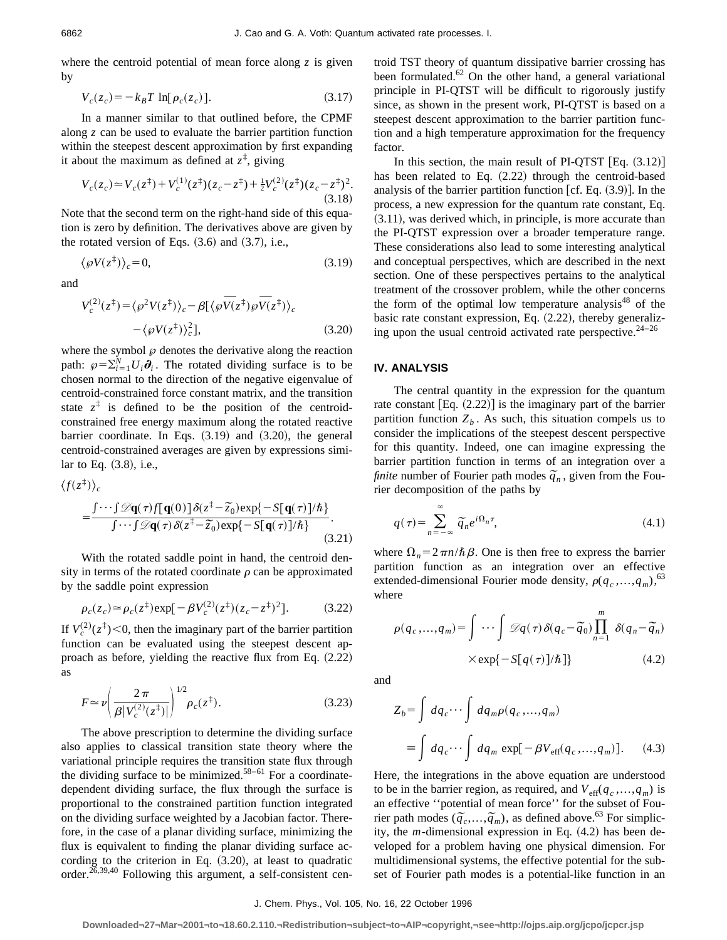where the centroid potential of mean force along *z* is given by

$$
V_c(z_c) = -k_B T \ln[\rho_c(z_c)].
$$
\n(3.17)

In a manner similar to that outlined before, the CPMF along *z* can be used to evaluate the barrier partition function within the steepest descent approximation by first expanding it about the maximum as defined at  $z^{\ddagger}$ , giving

$$
V_c(z_c) \approx V_c(z^{\ddagger}) + V_c^{(1)}(z^{\ddagger})(z_c - z^{\ddagger}) + \frac{1}{2}V_c^{(2)}(z^{\ddagger})(z_c - z^{\ddagger})^2. \tag{3.18}
$$

Note that the second term on the right-hand side of this equation is zero by definition. The derivatives above are given by the rotated version of Eqs.  $(3.6)$  and  $(3.7)$ , i.e.,

$$
\langle \wp V(z^{\ddagger}) \rangle_c = 0, \tag{3.19}
$$

and

$$
V_c^{(2)}(z^{\ddagger}) = \langle \varphi^2 V(z^{\ddagger}) \rangle_c - \beta [\langle \varphi \overline{V}(z^{\ddagger}) \varphi \overline{V}(z^{\ddagger}) \rangle_c - \langle \varphi V(z^{\ddagger}) \rangle_c^2],
$$
 (3.20)

where the symbol  $\varphi$  denotes the derivative along the reaction path:  $\mathcal{P} = \sum_{i=1}^{N} U_i \partial_i$ . The rotated dividing surface is to be chosen normal to the direction of the negative eigenvalue of centroid-constrained force constant matrix, and the transition state  $z^{\ddagger}$  is defined to be the position of the centroidconstrained free energy maximum along the rotated reactive barrier coordinate. In Eqs.  $(3.19)$  and  $(3.20)$ , the general centroid-constrained averages are given by expressions similar to Eq.  $(3.8)$ , i.e.,

$$
\langle f(z^{\ddagger}) \rangle_c
$$
  
= 
$$
\frac{\int \cdots \int \mathcal{D} \mathbf{q}(\tau) f[\mathbf{q}(0)] \delta(z^{\ddagger} - \tilde{z}_0) \exp\{-S[\mathbf{q}(\tau)]/\hbar\}}{\int \cdots \int \mathcal{D} \mathbf{q}(\tau) \delta(z^{\ddagger} - \tilde{z}_0) \exp\{-S[\mathbf{q}(\tau)]/\hbar\}}.
$$
(3.21)

With the rotated saddle point in hand, the centroid density in terms of the rotated coordinate  $\rho$  can be approximated by the saddle point expression

$$
\rho_c(z_c) \approx \rho_c(z^{\ddagger}) \exp[-\beta V_c^{(2)}(z^{\ddagger})(z_c - z^{\ddagger})^2].
$$
 (3.22)

If  $V_c^{(2)}(z^{\ddagger})$  < 0, then the imaginary part of the barrier partition function can be evaluated using the steepest descent approach as before, yielding the reactive flux from Eq.  $(2.22)$ as

$$
F \approx \nu \left( \frac{2\,\pi}{\beta |V_c^{(2)}(z^{\ddagger})|} \right)^{1/2} \rho_c(z^{\ddagger}). \tag{3.23}
$$

The above prescription to determine the dividing surface also applies to classical transition state theory where the variational principle requires the transition state flux through the dividing surface to be minimized.<sup>58-61</sup> For a coordinatedependent dividing surface, the flux through the surface is proportional to the constrained partition function integrated on the dividing surface weighted by a Jacobian factor. Therefore, in the case of a planar dividing surface, minimizing the flux is equivalent to finding the planar dividing surface according to the criterion in Eq.  $(3.20)$ , at least to quadratic order.<sup>26,39,40</sup> Following this argument, a self-consistent centroid TST theory of quantum dissipative barrier crossing has been formulated. $62$  On the other hand, a general variational principle in PI-QTST will be difficult to rigorously justify since, as shown in the present work, PI-QTST is based on a steepest descent approximation to the barrier partition function and a high temperature approximation for the frequency factor.

In this section, the main result of PI-QTST  $[Eq. (3.12)]$ has been related to Eq.  $(2.22)$  through the centroid-based analysis of the barrier partition function [cf. Eq.  $(3.9)$ ]. In the process, a new expression for the quantum rate constant, Eq.  $(3.11)$ , was derived which, in principle, is more accurate than the PI-QTST expression over a broader temperature range. These considerations also lead to some interesting analytical and conceptual perspectives, which are described in the next section. One of these perspectives pertains to the analytical treatment of the crossover problem, while the other concerns the form of the optimal low temperature analysis<sup>48</sup> of the basic rate constant expression, Eq.  $(2.22)$ , thereby generalizing upon the usual centroid activated rate perspective. $24-26$ 

# **IV. ANALYSIS**

The central quantity in the expression for the quantum rate constant  $[Eq. (2.22)]$  is the imaginary part of the barrier partition function  $Z_b$ . As such, this situation compels us to consider the implications of the steepest descent perspective for this quantity. Indeed, one can imagine expressing the barrier partition function in terms of an integration over a *finite* number of Fourier path modes  $\tilde{q}_n$ , given from the Fou-<br>*finite* number of Fourier path modes  $\tilde{q}_n$ , given from the Fourier decomposition of the paths by

$$
q(\tau) = \sum_{n = -\infty}^{\infty} \widetilde{q}_n e^{i\Omega_n \tau},
$$
\n(4.1)

where  $\Omega_n = 2\pi n/\hbar \beta$ . One is then free to express the barrier partition function as an integration over an effective extended-dimensional Fourier mode density,  $\rho(q_c, ..., q_m)$ ,<sup>63</sup> where

$$
\rho(q_c, ..., q_m) = \int \cdots \int \mathcal{D}q(\tau)\delta(q_c - \tilde{q}_0) \prod_{n=1}^m \delta(q_n - \tilde{q}_n)
$$

$$
\times \exp\{-S[q(\tau)]/\hbar]\}
$$
(4.2)

and

$$
Z_b = \int dq_c \cdots \int dq_m \rho(q_c, ..., q_m)
$$
  
= 
$$
\int dq_c \cdots \int dq_m \exp[-\beta V_{\text{eff}}(q_c, ..., q_m)].
$$
 (4.3)

Here, the integrations in the above equation are understood to be in the barrier region, as required, and  $V_{\text{eff}}(q_c, ..., q_m)$  is an effective ''potential of mean force'' for the subset of Fouan effective potential of mean force for the subset of Four-<br>rier path modes ( $\tilde{q}_c$ ,..., $\tilde{q}_m$ ), as defined above.<sup>63</sup> For simplicity, the  $m$ -dimensional expression in Eq.  $(4.2)$  has been developed for a problem having one physical dimension. For multidimensional systems, the effective potential for the subset of Fourier path modes is a potential-like function in an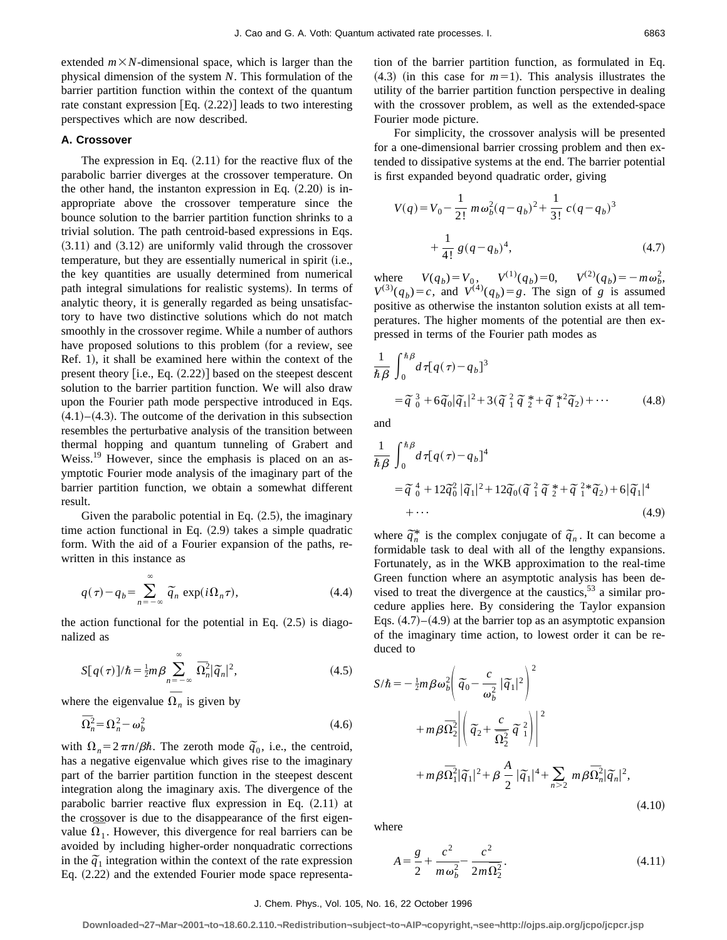extended  $m \times N$ -dimensional space, which is larger than the physical dimension of the system *N*. This formulation of the barrier partition function within the context of the quantum rate constant expression  $[Eq. (2.22)]$  leads to two interesting perspectives which are now described.

### **A. Crossover**

The expression in Eq.  $(2.11)$  for the reactive flux of the parabolic barrier diverges at the crossover temperature. On the other hand, the instanton expression in Eq.  $(2.20)$  is inappropriate above the crossover temperature since the bounce solution to the barrier partition function shrinks to a trivial solution. The path centroid-based expressions in Eqs.  $(3.11)$  and  $(3.12)$  are uniformly valid through the crossover temperature, but they are essentially numerical in spirit (i.e., the key quantities are usually determined from numerical path integral simulations for realistic systems). In terms of analytic theory, it is generally regarded as being unsatisfactory to have two distinctive solutions which do not match smoothly in the crossover regime. While a number of authors have proposed solutions to this problem (for a review, see  $Ref. 1$ , it shall be examined here within the context of the present theory  $[i.e., Eq. (2.22)]$  based on the steepest descent solution to the barrier partition function. We will also draw upon the Fourier path mode perspective introduced in Eqs.  $(4.1)–(4.3)$ . The outcome of the derivation in this subsection resembles the perturbative analysis of the transition between thermal hopping and quantum tunneling of Grabert and Weiss.<sup>19</sup> However, since the emphasis is placed on an asymptotic Fourier mode analysis of the imaginary part of the barrier partition function, we obtain a somewhat different result.

Given the parabolic potential in Eq.  $(2.5)$ , the imaginary time action functional in Eq.  $(2.9)$  takes a simple quadratic form. With the aid of a Fourier expansion of the paths, rewritten in this instance as

$$
q(\tau) - q_b = \sum_{n = -\infty}^{\infty} \tilde{q}_n \exp(i\Omega_n \tau), \qquad (4.4)
$$

the action functional for the potential in Eq.  $(2.5)$  is diagonalized as

$$
S[q(\tau)]/\hbar = \frac{1}{2}m\beta \sum_{n=-\infty}^{\infty} \overline{\Omega}_n^2 |\overline{q}_n|^2,
$$
 (4.5)

where the eigenvalue  $\overline{\Omega}_n$  is given by

$$
\overline{\Omega}_n^2 = \Omega_n^2 - \omega_b^2 \tag{4.6}
$$

with  $\Omega_n = 2\pi n/\beta\hbar$ . The zeroth mode  $\tilde{q}_0$ , i.e., the centroid, has a negative eigenvalue which gives rise to the imaginary part of the barrier partition function in the steepest descent integration along the imaginary axis. The divergence of the parabolic barrier reactive flux expression in Eq.  $(2.11)$  at the crossover is due to the disappearance of the first eigenthe crossover is due to the disappearance of the first eigenvalue  $\overline{\Omega}_1$ . However, this divergence for real barriers can be avoided by including higher-order nonquadratic corrections avoided by including inglier-order honduatival corrections<br>in the  $\tilde{q}_1$  integration within the context of the rate expression Eq. (2.22) and the extended Fourier mode space representation of the barrier partition function, as formulated in Eq.  $(4.3)$  (in this case for  $m=1$ ). This analysis illustrates the utility of the barrier partition function perspective in dealing with the crossover problem, as well as the extended-space Fourier mode picture.

For simplicity, the crossover analysis will be presented for a one-dimensional barrier crossing problem and then extended to dissipative systems at the end. The barrier potential is first expanded beyond quadratic order, giving

$$
V(q) = V_0 - \frac{1}{2!} m \omega_b^2 (q - q_b)^2 + \frac{1}{3!} c (q - q_b)^3
$$
  
+ 
$$
\frac{1}{4!} g (q - q_b)^4,
$$
 (4.7)

where  $V(q_b) = V_{0}$ ,  $V^{(1)}(q_b) = 0$ ,  $V^{(2)}(q_b) = -m\omega_b^2$ ,  $V^{(3)}(q_b)=c$ , and  $V^{(4)}(q_b)=g$ . The sign of *g* is assumed positive as otherwise the instanton solution exists at all temperatures. The higher moments of the potential are then expressed in terms of the Fourier path modes as

$$
\frac{1}{\hbar \beta} \int_0^{\hbar \beta} d\tau [q(\tau) - q_b]^3
$$
  
=  $\tilde{q}^3 + 6\tilde{q}_0 |\tilde{q}_1|^2 + 3(\tilde{q}^2_1 \tilde{q}^* + \tilde{q}^* i^2 \tilde{q}_2) + \cdots$  (4.8)

and

$$
\frac{1}{\hbar \beta} \int_0^{\hbar \beta} d\tau [q(\tau) - q_b]^4
$$
  
=  $\tilde{q}_0^4 + 12 \tilde{q}_0^2 |\tilde{q}_1|^2 + 12 \tilde{q}_0 (\tilde{q}_1^2 \tilde{q}_2^* + \tilde{q}_1^2 * \tilde{q}_2) + 6 |\tilde{q}_1|^4$   
+... (4.9)

where  $\tilde{q}_n^*$  is the complex conjugate of  $\tilde{q}_n$ . It can become a formidable task to deal with all of the lengthy expansions. Fortunately, as in the WKB approximation to the real-time Green function where an asymptotic analysis has been devised to treat the divergence at the caustics,  $53$  a similar procedure applies here. By considering the Taylor expansion Eqs.  $(4.7)$ – $(4.9)$  at the barrier top as an asymptotic expansion of the imaginary time action, to lowest order it can be reduced to

$$
S/\hbar = -\frac{1}{2}m\beta\omega_b^2 \left(\tilde{q}_0 - \frac{c}{\omega_b^2} |\tilde{q}_1|^2\right)^2
$$
  
+ 
$$
m\beta\overline{\Omega}_2^2 \left| \left(\tilde{q}_2 + \frac{c}{\overline{\Omega}_2^2} \tilde{q}_1^2\right) \right|^2
$$
  
+ 
$$
m\beta\overline{\Omega}_1^2 |\tilde{q}_1|^2 + \beta\frac{A}{2} |\tilde{q}_1|^4 + \sum_{n>2} m\beta\overline{\Omega}_n^2 |\tilde{q}_n|^2,
$$
(4.10)

where

$$
A = \frac{g}{2} + \frac{c^2}{m\omega_b^2} - \frac{c^2}{2m\overline{\Omega}_2^2}.
$$
 (4.11)

#### J. Chem. Phys., Vol. 105, No. 16, 22 October 1996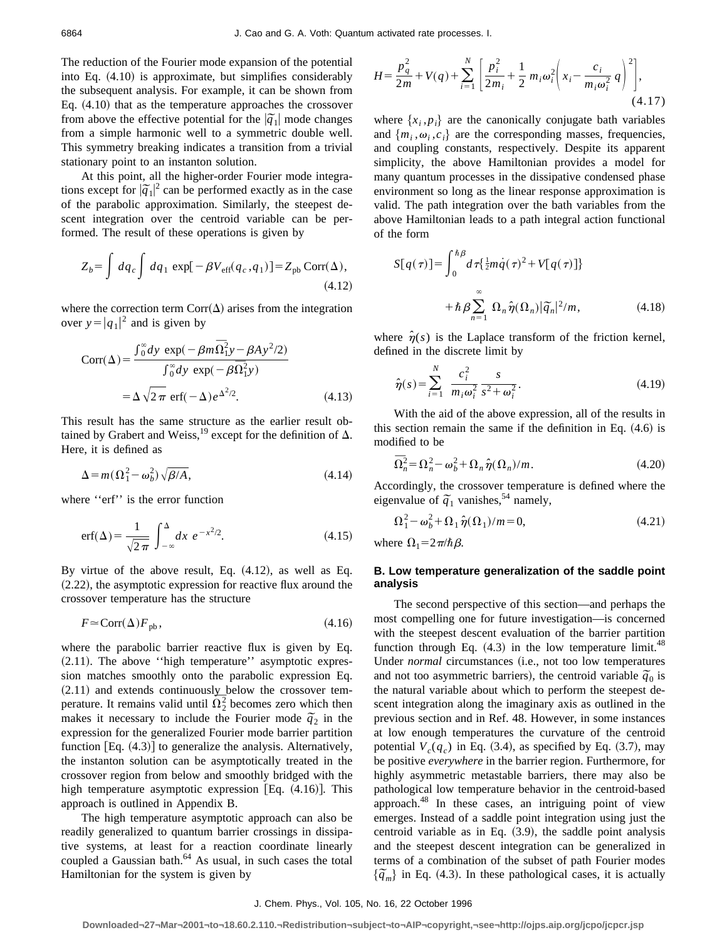The reduction of the Fourier mode expansion of the potential into Eq.  $(4.10)$  is approximate, but simplifies considerably the subsequent analysis. For example, it can be shown from Eq.  $(4.10)$  that as the temperature approaches the crossover Eq. (4.10) that as the temperature approaches the crossover from above the effective potential for the  $|\tilde{q}_1|$  mode changes from a simple harmonic well to a symmetric double well. This symmetry breaking indicates a transition from a trivial stationary point to an instanton solution.

At this point, all the higher-order Fourier mode integra-At this point, an the higher-order Fourier mode integra-<br>tions except for  $|\tilde{q}_1|^2$  can be performed exactly as in the case of the parabolic approximation. Similarly, the steepest descent integration over the centroid variable can be performed. The result of these operations is given by

$$
Z_b = \int dq_c \int dq_1 \exp[-\beta V_{\rm eff}(q_c, q_1)] = Z_{\rm pb} \, \text{Corr}(\Delta),\tag{4.12}
$$

where the correction term Corr( $\Delta$ ) arises from the integration over  $y = |q_1|^2$  and is given by

$$
Corr(\Delta) = \frac{\int_0^\infty dy \exp(-\beta m \overline{\Omega}_1^2 y - \beta A y^2 / 2)}{\int_0^\infty dy \exp(-\beta \overline{\Omega}_1^2 y)}
$$
  
=  $\Delta \sqrt{2\pi} \operatorname{erf}(-\Delta) e^{\Delta^2 / 2}$ . (4.13)

This result has the same structure as the earlier result obtained by Grabert and Weiss,<sup>19</sup> except for the definition of  $\Delta$ . Here, it is defined as

$$
\Delta = m(\Omega_1^2 - \omega_b^2) \sqrt{\beta/A},\tag{4.14}
$$

where "erf" is the error function

$$
\operatorname{erf}(\Delta) = \frac{1}{\sqrt{2\pi}} \int_{-\infty}^{\Delta} dx \ e^{-x^2/2}.
$$
 (4.15)

By virtue of the above result, Eq.  $(4.12)$ , as well as Eq.  $(2.22)$ , the asymptotic expression for reactive flux around the crossover temperature has the structure

$$
F \approx \text{Corr}(\Delta) F_{\text{pb}},\tag{4.16}
$$

where the parabolic barrier reactive flux is given by Eq.  $(2.11)$ . The above "high temperature" asymptotic expression matches smoothly onto the parabolic expression Eq.  $(2.11)$  and extends continuously below the crossover tem-(2.11) and extends continuously below the crossover temperature. It remains valid until  $\overline{\Omega}_2^2$  becomes zero which then perature. It remains valid until  $\Omega_2$  becomes zero which then makes it necessary to include the Fourier mode  $\tilde{q}_2$  in the expression for the generalized Fourier mode barrier partition function  $[Eq. (4.3)]$  to generalize the analysis. Alternatively, the instanton solution can be asymptotically treated in the crossover region from below and smoothly bridged with the high temperature asymptotic expression [Eq.  $(4.16)$ ]. This approach is outlined in Appendix B.

The high temperature asymptotic approach can also be readily generalized to quantum barrier crossings in dissipative systems, at least for a reaction coordinate linearly coupled a Gaussian bath.<sup>64</sup> As usual, in such cases the total Hamiltonian for the system is given by

$$
H = \frac{p_q^2}{2m} + V(q) + \sum_{i=1}^{N} \left[ \frac{p_i^2}{2m_i} + \frac{1}{2} m_i \omega_i^2 \left( x_i - \frac{c_i}{m_i \omega_i^2} q \right)^2 \right],
$$
\n(4.17)

where  $\{x_i, p_i\}$  are the canonically conjugate bath variables and  $\{m_i, \omega_i, c_i\}$  are the corresponding masses, frequencies, and coupling constants, respectively. Despite its apparent simplicity, the above Hamiltonian provides a model for many quantum processes in the dissipative condensed phase environment so long as the linear response approximation is valid. The path integration over the bath variables from the above Hamiltonian leads to a path integral action functional of the form

$$
S[q(\tau)] = \int_0^{\hbar \beta} d\tau \left\{ \frac{1}{2} m \dot{q}(\tau)^2 + V[q(\tau)] \right\}
$$

$$
+ \hbar \beta \sum_{n=1}^{\infty} \Omega_n \hat{\eta}(\Omega_n) |\tilde{q}_n|^2 / m, \qquad (4.18)
$$

where  $\hat{\eta}(s)$  is the Laplace transform of the friction kernel, defined in the discrete limit by

$$
\hat{\eta}(s) = \sum_{i=1}^{N} \frac{c_i^2}{m_i \omega_i^2} \frac{s}{s^2 + \omega_i^2}.
$$
\n(4.19)

With the aid of the above expression, all of the results in this section remain the same if the definition in Eq.  $(4.6)$  is modified to be

$$
\overline{\Omega}_n^2 = \Omega_n^2 - \omega_b^2 + \Omega_n \hat{\eta}(\Omega_n)/m.
$$
 (4.20)

Accordingly, the crossover temperature is defined where the Accordingly, the crossover temperaturely,  $\tilde{q}_1$  vanishes,<sup>54</sup> namely,

$$
\Omega_1^2 - \omega_b^2 + \Omega_1 \hat{\eta}(\Omega_1)/m = 0, \qquad (4.21)
$$

where  $\Omega_1 = 2\pi/\hbar\beta$ .

# **B. Low temperature generalization of the saddle point analysis**

The second perspective of this section—and perhaps the most compelling one for future investigation—is concerned with the steepest descent evaluation of the barrier partition function through Eq.  $(4.3)$  in the low temperature limit.<sup>48</sup> Under *normal* circumstances (i.e., not too low temperatures equal to asymmetric barriers), the centroid variable  $\tilde{q}_0$  is the natural variable about which to perform the steepest descent integration along the imaginary axis as outlined in the previous section and in Ref. 48. However, in some instances at low enough temperatures the curvature of the centroid potential  $V_c(q_c)$  in Eq. (3.4), as specified by Eq. (3.7), may be positive *everywhere* in the barrier region. Furthermore, for highly asymmetric metastable barriers, there may also be pathological low temperature behavior in the centroid-based approach.<sup>48</sup> In these cases, an intriguing point of view emerges. Instead of a saddle point integration using just the centroid variable as in Eq.  $(3.9)$ , the saddle point analysis and the steepest descent integration can be generalized in terms of a combination of the subset of path Fourier modes  $\{\bar{q}_m\}$  in Eq. (4.3). In these pathological cases, it is actually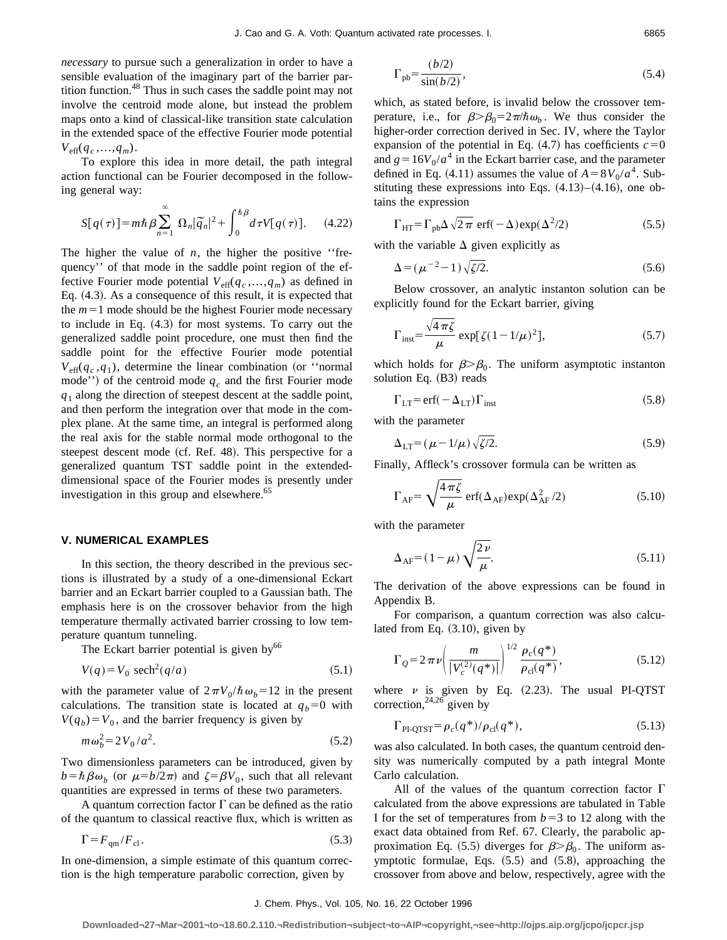*necessary* to pursue such a generalization in order to have a sensible evaluation of the imaginary part of the barrier partition function.<sup>48</sup> Thus in such cases the saddle point may not involve the centroid mode alone, but instead the problem maps onto a kind of classical-like transition state calculation in the extended space of the effective Fourier mode potential  $V_{\text{eff}}(q_c, \ldots, q_m)$ .

To explore this idea in more detail, the path integral action functional can be Fourier decomposed in the following general way:

$$
S[q(\tau)] = m\hbar \beta \sum_{n=1}^{\infty} \Omega_n |\tilde{q}_n|^2 + \int_0^{\hbar \beta} d\tau V[q(\tau)]. \quad (4.22)
$$

The higher the value of  $n$ , the higher the positive "frequency'' of that mode in the saddle point region of the effective Fourier mode potential  $V_{\text{eff}}(q_c, ..., q_m)$  as defined in Eq.  $(4.3)$ . As a consequence of this result, it is expected that the  $m=1$  mode should be the highest Fourier mode necessary to include in Eq.  $(4.3)$  for most systems. To carry out the generalized saddle point procedure, one must then find the saddle point for the effective Fourier mode potential  $V_{\text{eff}}(q_c, q_1)$ , determine the linear combination (or "normal mode'') of the centroid mode  $q_c$  and the first Fourier mode *q*<sup>1</sup> along the direction of steepest descent at the saddle point, and then perform the integration over that mode in the complex plane. At the same time, an integral is performed along the real axis for the stable normal mode orthogonal to the steepest descent mode (cf. Ref. 48). This perspective for a generalized quantum TST saddle point in the extendeddimensional space of the Fourier modes is presently under investigation in this group and elsewhere.<sup>65</sup>

### **V. NUMERICAL EXAMPLES**

In this section, the theory described in the previous sections is illustrated by a study of a one-dimensional Eckart barrier and an Eckart barrier coupled to a Gaussian bath. The emphasis here is on the crossover behavior from the high temperature thermally activated barrier crossing to low temperature quantum tunneling.

The Eckart barrier potential is given by<sup>66</sup>

$$
V(q) = V_0 \operatorname{sech}^2(q/a) \tag{5.1}
$$

with the parameter value of  $2\pi V_0/\hbar\omega_b=12$  in the present calculations. The transition state is located at  $q_b=0$  with  $V(q_b) = V_0$ , and the barrier frequency is given by

$$
m\omega_b^2 = 2V_0/a^2.
$$
 (5.2)

Two dimensionless parameters can be introduced, given by  $b = \hbar \beta \omega_b$  (or  $\mu = b/2\pi$ ) and  $\zeta = \beta V_0$ , such that all relevant quantities are expressed in terms of these two parameters.

A quantum correction factor  $\Gamma$  can be defined as the ratio of the quantum to classical reactive flux, which is written as

$$
\Gamma = F_{\rm qm}/F_{\rm cl}.\tag{5.3}
$$

In one-dimension, a simple estimate of this quantum correction is the high temperature parabolic correction, given by

$$
\Gamma_{\rm pb} = \frac{(b/2)}{\sin(b/2)},\tag{5.4}
$$

which, as stated before, is invalid below the crossover temperature, i.e., for  $\beta > \beta_0 = 2\pi/\hbar\omega_b$ . We thus consider the higher-order correction derived in Sec. IV, where the Taylor expansion of the potential in Eq.  $(4.7)$  has coefficients  $c=0$ and  $g=16V_0/a^4$  in the Eckart barrier case, and the parameter defined in Eq. (4.11) assumes the value of  $A = 8V_0/a^4$ . Substituting these expressions into Eqs.  $(4.13)$ – $(4.16)$ , one obtains the expression

$$
\Gamma_{\rm HT} = \Gamma_{\rm pb} \Delta \sqrt{2\pi} \, \, \text{erf}(-\Delta) \text{exp}(\Delta^2/2) \tag{5.5}
$$

with the variable  $\Delta$  given explicitly as

$$
\Delta = (\mu^{-2} - 1)\sqrt{\zeta/2}.\tag{5.6}
$$

Below crossover, an analytic instanton solution can be explicitly found for the Eckart barrier, giving

$$
\Gamma_{\text{inst}} = \frac{\sqrt{4\,\pi\zeta}}{\mu} \exp[\,\zeta(1 - 1/\mu)^2],\tag{5.7}
$$

which holds for  $\beta > \beta_0$ . The uniform asymptotic instanton solution Eq. (B3) reads

$$
\Gamma_{LT} = erf(-\Delta_{LT}) \Gamma_{inst} \tag{5.8}
$$

with the parameter

$$
\Delta_{LT} = (\mu - 1/\mu) \sqrt{\zeta/2}.
$$
 (5.9)

Finally, Affleck's crossover formula can be written as

$$
\Gamma_{\rm AF} = \sqrt{\frac{4\,\pi\zeta}{\mu}} \,\rm erf(\Delta_{\rm AF}) \exp(\Delta_{\rm AF}^2/2) \tag{5.10}
$$

with the parameter

$$
\Delta_{\text{AF}} = (1 - \mu) \sqrt{\frac{2 \nu}{\mu}}.\tag{5.11}
$$

The derivation of the above expressions can be found in Appendix B.

For comparison, a quantum correction was also calculated from Eq.  $(3.10)$ , given by

$$
\Gamma_Q = 2\,\pi\,\nu \bigg(\frac{m}{|V_c^{(2)}(q^*)|}\bigg)^{1/2} \frac{\rho_c(q^*)}{\rho_{cl}(q^*)},\tag{5.12}
$$

where  $\nu$  is given by Eq. (2.23). The usual PI-QTST correction,  $24,26$  given by

$$
\Gamma_{\text{PI-QTST}} = \rho_c(q^*)/\rho_{\text{cl}}(q^*),\tag{5.13}
$$

was also calculated. In both cases, the quantum centroid density was numerically computed by a path integral Monte Carlo calculation.

All of the values of the quantum correction factor  $\Gamma$ calculated from the above expressions are tabulated in Table I for the set of temperatures from  $b=3$  to 12 along with the exact data obtained from Ref. 67. Clearly, the parabolic approximation Eq. (5.5) diverges for  $\beta > \beta_0$ . The uniform asymptotic formulae, Eqs.  $(5.5)$  and  $(5.8)$ , approaching the crossover from above and below, respectively, agree with the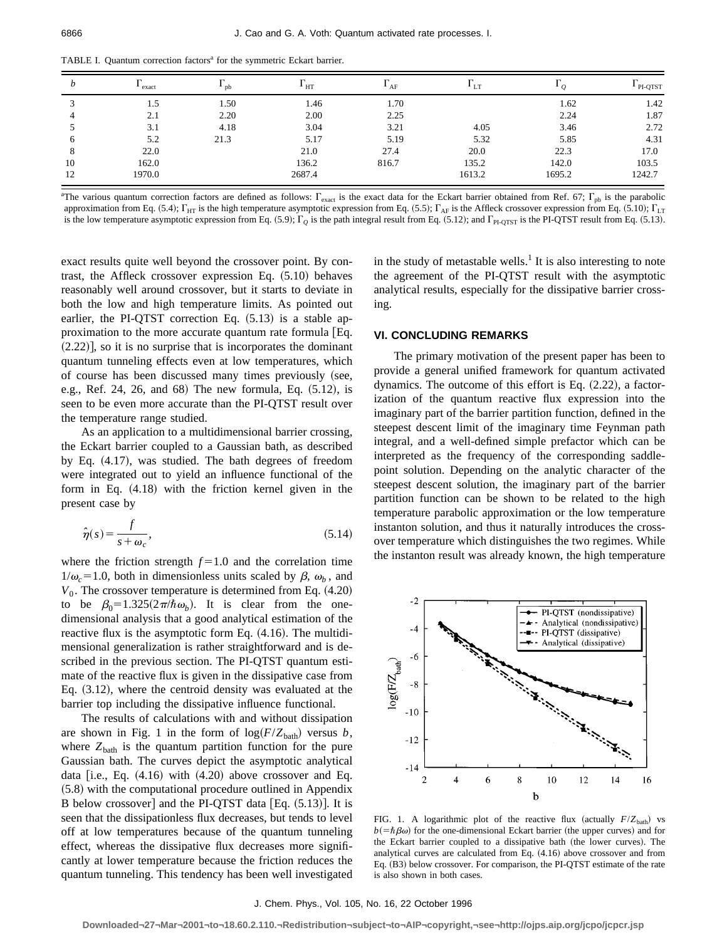TABLE I. Quantum correction factors<sup>a</sup> for the symmetric Eckart barrier.

|    | exact  | $\frac{1}{b}$ | $1_{\text{HT}}$ | $\Gamma_{\rm AF}$ | 1 <sub>LT</sub> | $\mathbf{1}_{\theta}$ | $1$ PI-QTST |
|----|--------|---------------|-----------------|-------------------|-----------------|-----------------------|-------------|
|    | 1.5    | 1.50          | 1.46            | 1.70              |                 | 1.62                  | 1.42        |
|    | 2.1    | 2.20          | 2.00            | 2.25              |                 | 2.24                  | 1.87        |
|    | 3.1    | 4.18          | 3.04            | 3.21              | 4.05            | 3.46                  | 2.72        |
| O  | 5.2    | 21.3          | 5.17            | 5.19              | 5.32            | 5.85                  | 4.31        |
| 8  | 22.0   |               | 21.0            | 27.4              | 20.0            | 22.3                  | 17.0        |
| 10 | 162.0  |               | 136.2           | 816.7             | 135.2           | 142.0                 | 103.5       |
| 12 | 1970.0 |               | 2687.4          |                   | 1613.2          | 1695.2                | 1242.7      |

<sup>a</sup>The various quantum correction factors are defined as follows:  $\Gamma_{\text{exact}}$  is the exact data for the Eckart barrier obtained from Ref. 67;  $\Gamma_{\text{pb}}$  is the parabolic approximation from Eq.  $(5.4)$ ;  $\Gamma_{\text{HT}}$  is the high temperature asymptotic expression from Eq.  $(5.5)$ ;  $\Gamma_{\text{AF}}$  is the Affleck crossover expression from Eq.  $(5.10)$ ;  $\Gamma_{\text{LT}}$ is the low temperature asymptotic expression from Eq.  $(5.9)$ ;  $\Gamma_Q$  is the path integral result from Eq.  $(5.12)$ ; and  $\Gamma_{PLOTST}$  is the PI-QTST result from Eq.  $(5.13)$ .

exact results quite well beyond the crossover point. By contrast, the Affleck crossover expression Eq.  $(5.10)$  behaves reasonably well around crossover, but it starts to deviate in both the low and high temperature limits. As pointed out earlier, the PI-QTST correction Eq.  $(5.13)$  is a stable approximation to the more accurate quantum rate formula  $[Eq.$  $(2.22)$ , so it is no surprise that is incorporates the dominant quantum tunneling effects even at low temperatures, which of course has been discussed many times previously (see, e.g., Ref. 24, 26, and 68) The new formula, Eq.  $(5.12)$ , is seen to be even more accurate than the PI-QTST result over the temperature range studied.

As an application to a multidimensional barrier crossing, the Eckart barrier coupled to a Gaussian bath, as described by Eq.  $(4.17)$ , was studied. The bath degrees of freedom were integrated out to yield an influence functional of the form in Eq.  $(4.18)$  with the friction kernel given in the present case by

$$
\hat{\eta}(s) = \frac{f}{s + \omega_c},\tag{5.14}
$$

where the friction strength  $f=1.0$  and the correlation time  $1/\omega_c = 1.0$ , both in dimensionless units scaled by  $\beta$ ,  $\omega_b$ , and  $V_0$ . The crossover temperature is determined from Eq.  $(4.20)$ to be  $\beta_0=1.325(2\pi/\hbar\omega_b)$ . It is clear from the onedimensional analysis that a good analytical estimation of the reactive flux is the asymptotic form Eq.  $(4.16)$ . The multidimensional generalization is rather straightforward and is described in the previous section. The PI-QTST quantum estimate of the reactive flux is given in the dissipative case from Eq.  $(3.12)$ , where the centroid density was evaluated at the barrier top including the dissipative influence functional.

The results of calculations with and without dissipation are shown in Fig. 1 in the form of  $log(F/Z_{\text{bath}})$  versus *b*, where  $Z_{\text{bath}}$  is the quantum partition function for the pure Gaussian bath. The curves depict the asymptotic analytical data  $[$ i.e., Eq.  $(4.16)$  with  $(4.20)$  above crossover and Eq.  $(5.8)$  with the computational procedure outlined in Appendix B below crossover] and the PI-QTST data  $[Eq. (5.13)]$ . It is seen that the dissipationless flux decreases, but tends to level off at low temperatures because of the quantum tunneling effect, whereas the dissipative flux decreases more significantly at lower temperature because the friction reduces the quantum tunneling. This tendency has been well investigated in the study of metastable wells.<sup>1</sup> It is also interesting to note the agreement of the PI-QTST result with the asymptotic analytical results, especially for the dissipative barrier crossing.

### **VI. CONCLUDING REMARKS**

The primary motivation of the present paper has been to provide a general unified framework for quantum activated dynamics. The outcome of this effort is Eq.  $(2.22)$ , a factorization of the quantum reactive flux expression into the imaginary part of the barrier partition function, defined in the steepest descent limit of the imaginary time Feynman path integral, and a well-defined simple prefactor which can be interpreted as the frequency of the corresponding saddlepoint solution. Depending on the analytic character of the steepest descent solution, the imaginary part of the barrier partition function can be shown to be related to the high temperature parabolic approximation or the low temperature instanton solution, and thus it naturally introduces the crossover temperature which distinguishes the two regimes. While the instanton result was already known, the high temperature



FIG. 1. A logarithmic plot of the reactive flux (actually  $F/Z_{\text{bath}}$ ) vs  $b(=\hbar\beta\omega)$  for the one-dimensional Eckart barrier (the upper curves) and for the Eckart barrier coupled to a dissipative bath (the lower curves). The analytical curves are calculated from Eq.  $(4.16)$  above crossover and from Eq. (B3) below crossover. For comparison, the PI-QTST estimate of the rate is also shown in both cases.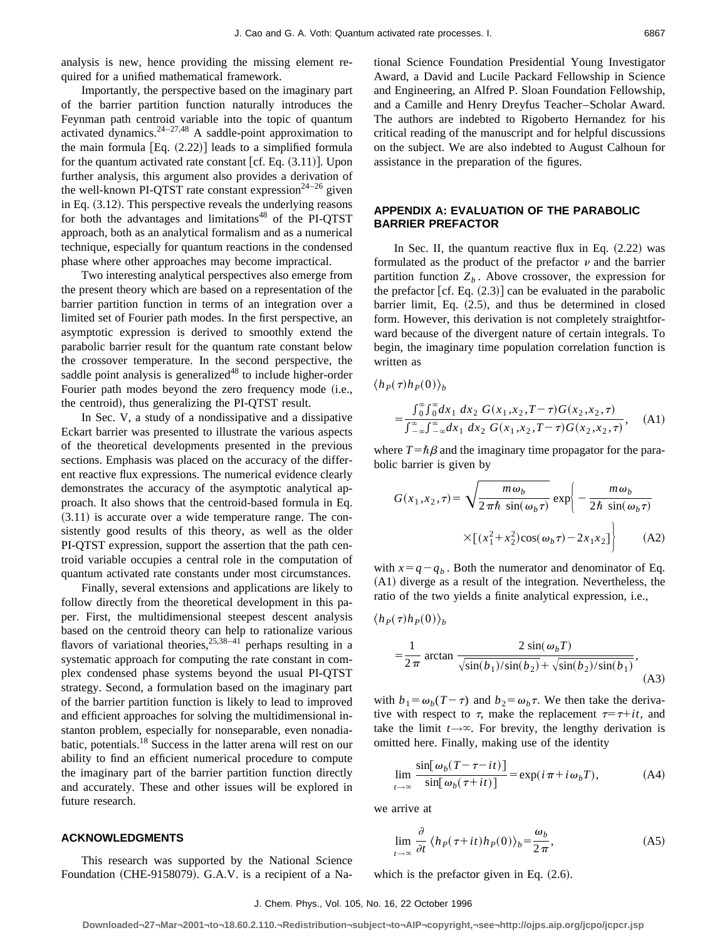$(A3)$ 

analysis is new, hence providing the missing element required for a unified mathematical framework.

Importantly, the perspective based on the imaginary part of the barrier partition function naturally introduces the Feynman path centroid variable into the topic of quantum activated dynamics.24–27,48 A saddle-point approximation to the main formula  $[Eq. (2.22)]$  leads to a simplified formula for the quantum activated rate constant [cf. Eq.  $(3.11)$ ]. Upon further analysis, this argument also provides a derivation of the well-known PI-QTST rate constant expression $24-26$  given in Eq.  $(3.12)$ . This perspective reveals the underlying reasons for both the advantages and limitations $48$  of the PI-QTST approach, both as an analytical formalism and as a numerical technique, especially for quantum reactions in the condensed phase where other approaches may become impractical.

Two interesting analytical perspectives also emerge from the present theory which are based on a representation of the barrier partition function in terms of an integration over a limited set of Fourier path modes. In the first perspective, an asymptotic expression is derived to smoothly extend the parabolic barrier result for the quantum rate constant below the crossover temperature. In the second perspective, the saddle point analysis is generalized $48$  to include higher-order Fourier path modes beyond the zero frequency mode (i.e., the centroid), thus generalizing the PI-QTST result.

In Sec. V, a study of a nondissipative and a dissipative Eckart barrier was presented to illustrate the various aspects of the theoretical developments presented in the previous sections. Emphasis was placed on the accuracy of the different reactive flux expressions. The numerical evidence clearly demonstrates the accuracy of the asymptotic analytical approach. It also shows that the centroid-based formula in Eq.  $(3.11)$  is accurate over a wide temperature range. The consistently good results of this theory, as well as the older PI-QTST expression, support the assertion that the path centroid variable occupies a central role in the computation of quantum activated rate constants under most circumstances.

Finally, several extensions and applications are likely to follow directly from the theoretical development in this paper. First, the multidimensional steepest descent analysis based on the centroid theory can help to rationalize various flavors of variational theories,  $25,38-41$  perhaps resulting in a systematic approach for computing the rate constant in complex condensed phase systems beyond the usual PI-QTST strategy. Second, a formulation based on the imaginary part of the barrier partition function is likely to lead to improved and efficient approaches for solving the multidimensional instanton problem, especially for nonseparable, even nonadiabatic, potentials.18 Success in the latter arena will rest on our ability to find an efficient numerical procedure to compute the imaginary part of the barrier partition function directly and accurately. These and other issues will be explored in future research.

#### **ACKNOWLEDGMENTS**

This research was supported by the National Science Foundation (CHE-9158079). G.A.V. is a recipient of a National Science Foundation Presidential Young Investigator Award, a David and Lucile Packard Fellowship in Science and Engineering, an Alfred P. Sloan Foundation Fellowship, and a Camille and Henry Dreyfus Teacher–Scholar Award. The authors are indebted to Rigoberto Hernandez for his critical reading of the manuscript and for helpful discussions on the subject. We are also indebted to August Calhoun for assistance in the preparation of the figures.

# **APPENDIX A: EVALUATION OF THE PARABOLIC BARRIER PREFACTOR**

In Sec. II, the quantum reactive flux in Eq.  $(2.22)$  was formulated as the product of the prefactor  $\nu$  and the barrier partition function  $Z_h$ . Above crossover, the expression for the prefactor  $[cf. Eq. (2.3)]$  can be evaluated in the parabolic barrier limit, Eq.  $(2.5)$ , and thus be determined in closed form. However, this derivation is not completely straightforward because of the divergent nature of certain integrals. To begin, the imaginary time population correlation function is written as

$$
\langle h_P(\tau)h_P(0) \rangle_b
$$
  
= 
$$
\frac{\int_0^\infty \int_0^\infty dx_1 dx_2 G(x_1, x_2, T - \tau)G(x_2, x_2, \tau)}{\int_{-\infty}^\infty \int_{-\infty}^\infty dx_1 dx_2 G(x_1, x_2, T - \tau)G(x_2, x_2, \tau)},
$$
 (A1)

where  $T=\hbar\beta$  and the imaginary time propagator for the parabolic barrier is given by

$$
G(x_1, x_2, \tau) = \sqrt{\frac{m\omega_b}{2\pi\hbar \sin(\omega_b \tau)}} \exp\left\{-\frac{m\omega_b}{2\hbar \sin(\omega_b \tau)}\right\}
$$

$$
\times \left[ (x_1^2 + x_2^2) \cos(\omega_b \tau) - 2x_1 x_2 \right] \qquad (A2)
$$

with  $x=q-q_b$ . Both the numerator and denominator of Eq.  $(A1)$  diverge as a result of the integration. Nevertheless, the ratio of the two yields a finite analytical expression, i.e.,

$$
\langle h_P(\tau)h_P(0)\rangle_b
$$
  
=  $\frac{1}{2\pi} \arctan \frac{2 \sin(\omega_b T)}{\sqrt{\sin(b_1)/\sin(b_2)} + \sqrt{\sin(b_2)/\sin(b_1)}},$ 

with  $b_1 = \omega_b(T - \tau)$  and  $b_2 = \omega_b \tau$ . We then take the derivative with respect to  $\tau$ , make the replacement  $\tau = \tau + it$ , and take the limit  $t \rightarrow \infty$ . For brevity, the lengthy derivation is omitted here. Finally, making use of the identity

$$
\lim_{t \to \infty} \frac{\sin[\omega_b(T - \tau - it)]}{\sin[\omega_b(\tau + it)]} = \exp(i\pi + i\omega_b T),
$$
 (A4)

we arrive at

$$
\lim_{t \to \infty} \frac{\partial}{\partial t} \left\langle h_P(\tau + it) h_P(0) \right\rangle_b = \frac{\omega_b}{2\pi},\tag{A5}
$$

which is the prefactor given in Eq.  $(2.6)$ .

#### J. Chem. Phys., Vol. 105, No. 16, 22 October 1996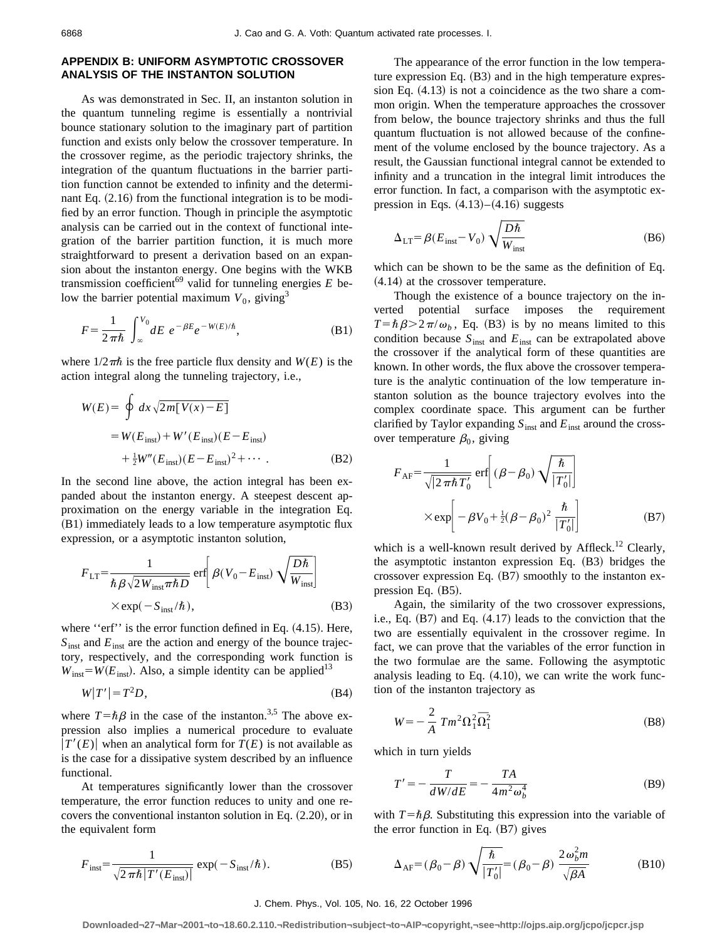# **APPENDIX B: UNIFORM ASYMPTOTIC CROSSOVER ANALYSIS OF THE INSTANTON SOLUTION**

As was demonstrated in Sec. II, an instanton solution in the quantum tunneling regime is essentially a nontrivial bounce stationary solution to the imaginary part of partition function and exists only below the crossover temperature. In the crossover regime, as the periodic trajectory shrinks, the integration of the quantum fluctuations in the barrier partition function cannot be extended to infinity and the determinant Eq.  $(2.16)$  from the functional integration is to be modified by an error function. Though in principle the asymptotic analysis can be carried out in the context of functional integration of the barrier partition function, it is much more straightforward to present a derivation based on an expansion about the instanton energy. One begins with the WKB transmission coefficient<sup>69</sup> valid for tunneling energies  $E$  below the barrier potential maximum  $V_0$ , giving<sup>3</sup>

$$
F = \frac{1}{2\pi\hbar} \int_{-\infty}^{V_0} dE \ e^{-\beta E} e^{-W(E)/\hbar}, \tag{B1}
$$

where  $1/2\pi\hbar$  is the free particle flux density and  $W(E)$  is the action integral along the tunneling trajectory, i.e.,

$$
W(E) = \oint dx \sqrt{2m[V(x) - E]}
$$
  
=  $W(E_{\text{inst}}) + W'(E_{\text{inst}})(E - E_{\text{inst}})$   
+  $\frac{1}{2}W''(E_{\text{inst}})(E - E_{\text{inst}})^2 + \cdots$  (B2)

In the second line above, the action integral has been expanded about the instanton energy. A steepest descent approximation on the energy variable in the integration Eq.  $(B1)$  immediately leads to a low temperature asymptotic flux expression, or a asymptotic instanton solution,

$$
F_{LT} = \frac{1}{\hbar \beta \sqrt{2W_{inst} \pi \hbar D}} \text{ erf} \left[ \beta (V_0 - E_{inst}) \sqrt{\frac{D\hbar}{W_{inst}}} \right]
$$
  
× exp(-S<sub>inst</sub>/ $\hbar$ ), (B3)

where " $erf$ " is the error function defined in Eq.  $(4.15)$ . Here,  $S<sub>inst</sub>$  and  $E<sub>inst</sub>$  are the action and energy of the bounce trajectory, respectively, and the corresponding work function is  $W_{\text{inst}} = W(E_{\text{inst}})$ . Also, a simple identity can be applied<sup>13</sup>

$$
W|T'| = T^2D,\tag{B4}
$$

where  $T=\hbar\beta$  in the case of the instanton.<sup>3,5</sup> The above expression also implies a numerical procedure to evaluate  $|T'(E)|$  when an analytical form for  $T(E)$  is not available as is the case for a dissipative system described by an influence functional.

At temperatures significantly lower than the crossover temperature, the error function reduces to unity and one recovers the conventional instanton solution in Eq.  $(2.20)$ , or in the equivalent form

$$
F_{\text{inst}} = \frac{1}{\sqrt{2 \pi \hbar |T'(E_{\text{inst}})|}} \exp(-S_{\text{inst}}/\hbar).
$$
 (B5)

The appearance of the error function in the low temperature expression Eq.  $(B3)$  and in the high temperature expression Eq.  $(4.13)$  is not a coincidence as the two share a common origin. When the temperature approaches the crossover from below, the bounce trajectory shrinks and thus the full quantum fluctuation is not allowed because of the confinement of the volume enclosed by the bounce trajectory. As a result, the Gaussian functional integral cannot be extended to infinity and a truncation in the integral limit introduces the error function. In fact, a comparison with the asymptotic expression in Eqs.  $(4.13)$ – $(4.16)$  suggests

$$
\Delta_{LT} = \beta (E_{inst} - V_0) \sqrt{\frac{D\hbar}{W_{inst}}} \tag{B6}
$$

which can be shown to be the same as the definition of Eq.  $(4.14)$  at the crossover temperature.

Though the existence of a bounce trajectory on the inverted potential surface imposes the requirement  $T=\hbar\beta>2\pi/\omega_b$ , Eq. (B3) is by no means limited to this condition because  $S_{\text{inst}}$  and  $E_{\text{inst}}$  can be extrapolated above the crossover if the analytical form of these quantities are known. In other words, the flux above the crossover temperature is the analytic continuation of the low temperature instanton solution as the bounce trajectory evolves into the complex coordinate space. This argument can be further clarified by Taylor expanding *S*inst and *E*inst around the crossover temperature  $\beta_0$ , giving

$$
F_{\text{AF}} = \frac{1}{\sqrt{|2\pi\hbar T_0'}} \text{ erf}\left[ (\beta - \beta_0) \sqrt{\frac{\hbar}{|T_0'|}} \right]
$$

$$
\times \exp\left[ -\beta V_0 + \frac{1}{2} (\beta - \beta_0)^2 \frac{\hbar}{|T_0'|} \right]
$$
(B7)

which is a well-known result derived by Affleck.<sup>12</sup> Clearly, the asymptotic instanton expression Eq.  $(B3)$  bridges the crossover expression Eq.  $(B7)$  smoothly to the instanton expression Eq.  $(B5)$ .

Again, the similarity of the two crossover expressions, i.e., Eq.  $(B7)$  and Eq.  $(4.17)$  leads to the conviction that the two are essentially equivalent in the crossover regime. In fact, we can prove that the variables of the error function in the two formulae are the same. Following the asymptotic analysis leading to Eq.  $(4.10)$ , we can write the work function of the instanton trajectory as

$$
W = -\frac{2}{A} T m^2 \Omega_1^2 \overline{\Omega}_1^2
$$
 (B8)

which in turn yields

$$
T' = -\frac{T}{dW/dE} = -\frac{TA}{4m^2\omega_b^4}
$$
 (B9)

with  $T=\hbar\beta$ . Substituting this expression into the variable of the error function in Eq.  $(B7)$  gives

$$
\Delta_{\text{AF}} = (\beta_0 - \beta) \sqrt{\frac{\hbar}{|T'_0|}} = (\beta_0 - \beta) \frac{2 \omega_b^2 m}{\sqrt{\beta A}}
$$
(B10)

#### J. Chem. Phys., Vol. 105, No. 16, 22 October 1996

**Downloaded¬27¬Mar¬2001¬to¬18.60.2.110.¬Redistribution¬subject¬to¬AIP¬copyright,¬see¬http://ojps.aip.org/jcpo/jcpcr.jsp**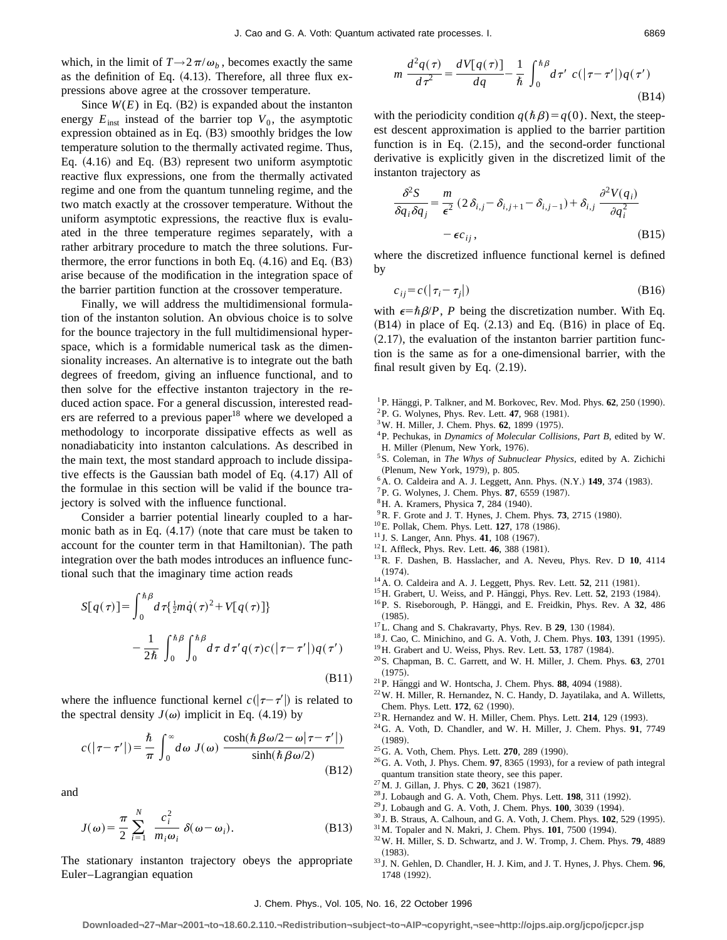which, in the limit of  $T\rightarrow 2\pi/\omega_b$ , becomes exactly the same as the definition of Eq.  $(4.13)$ . Therefore, all three flux expressions above agree at the crossover temperature.

Since  $W(E)$  in Eq. (B2) is expanded about the instanton energy  $E_{\text{inst}}$  instead of the barrier top  $V_0$ , the asymptotic expression obtained as in Eq.  $(B3)$  smoothly bridges the low temperature solution to the thermally activated regime. Thus, Eq.  $(4.16)$  and Eq.  $(B3)$  represent two uniform asymptotic reactive flux expressions, one from the thermally activated regime and one from the quantum tunneling regime, and the two match exactly at the crossover temperature. Without the uniform asymptotic expressions, the reactive flux is evaluated in the three temperature regimes separately, with a rather arbitrary procedure to match the three solutions. Furthermore, the error functions in both Eq.  $(4.16)$  and Eq.  $(B3)$ arise because of the modification in the integration space of the barrier partition function at the crossover temperature.

Finally, we will address the multidimensional formulation of the instanton solution. An obvious choice is to solve for the bounce trajectory in the full multidimensional hyperspace, which is a formidable numerical task as the dimensionality increases. An alternative is to integrate out the bath degrees of freedom, giving an influence functional, and to then solve for the effective instanton trajectory in the reduced action space. For a general discussion, interested readers are referred to a previous paper $18$  where we developed a methodology to incorporate dissipative effects as well as nonadiabaticity into instanton calculations. As described in the main text, the most standard approach to include dissipative effects is the Gaussian bath model of Eq.  $(4.17)$  All of the formulae in this section will be valid if the bounce trajectory is solved with the influence functional.

Consider a barrier potential linearly coupled to a harmonic bath as in Eq.  $(4.17)$  (note that care must be taken to account for the counter term in that Hamiltonian). The path integration over the bath modes introduces an influence functional such that the imaginary time action reads

$$
S[q(\tau)] = \int_0^{\hbar \beta} d\tau \left\{ \frac{1}{2} m \dot{q}(\tau)^2 + V[q(\tau)] \right\}
$$

$$
- \frac{1}{2\hbar} \int_0^{\hbar \beta} \int_0^{\hbar \beta} d\tau \, d\tau' q(\tau) c(|\tau - \tau'|) q(\tau')
$$
(B11)

where the influence functional kernel  $c(|\tau-\tau'|)$  is related to the spectral density  $J(\omega)$  implicit in Eq. (4.19) by

$$
c(|\tau-\tau'|)=\frac{\hbar}{\pi}\int_0^\infty d\omega J(\omega)\frac{\cosh(\hbar\beta\omega/2-\omega|\tau-\tau'|)}{\sinh(\hbar\beta\omega/2)}
$$
(B12)

and

$$
J(\omega) = \frac{\pi}{2} \sum_{i=1}^{N} \frac{c_i^2}{m_i \omega_i} \delta(\omega - \omega_i).
$$
 (B13)

The stationary instanton trajectory obeys the appropriate Euler–Lagrangian equation

$$
m\frac{d^2q(\tau)}{d\tau^2} = \frac{dV[q(\tau)]}{dq} - \frac{1}{\hbar} \int_0^{\hbar\beta} d\tau' \ c(|\tau - \tau'|)q(\tau')
$$
\n(B14)

with the periodicity condition  $q(\hbar \beta) = q(0)$ . Next, the steepest descent approximation is applied to the barrier partition function is in Eq.  $(2.15)$ , and the second-order functional derivative is explicitly given in the discretized limit of the instanton trajectory as

$$
\frac{\delta^2 S}{\delta q_i \delta q_j} = \frac{m}{\epsilon^2} \left( 2 \delta_{i,j} - \delta_{i,j+1} - \delta_{i,j-1} \right) + \delta_{i,j} \frac{\partial^2 V(q_i)}{\partial q_i^2}
$$
  
-  $\epsilon c_{ij}$ , (B15)

where the discretized influence functional kernel is defined by

$$
c_{ij} = c(|\tau_i - \tau_j|) \tag{B16}
$$

with  $\epsilon = \hbar \beta / P$ , *P* being the discretization number. With Eq.  $(B14)$  in place of Eq.  $(2.13)$  and Eq.  $(B16)$  in place of Eq.  $(2.17)$ , the evaluation of the instanton barrier partition function is the same as for a one-dimensional barrier, with the final result given by Eq.  $(2.19)$ .

- <sup>1</sup>P. Hänggi, P. Talkner, and M. Borkovec, Rev. Mod. Phys. **62**, 250 (1990).
- $2^2$ P. G. Wolynes, Phys. Rev. Lett. **47**, 968 (1981).
- <sup>3</sup>W. H. Miller, J. Chem. Phys. **62**, 1899 (1975).
- 4P. Pechukas, in *Dynamics of Molecular Collisions, Part B*, edited by W. H. Miller (Plenum, New York, 1976).
- 5S. Coleman, in *The Whys of Subnuclear Physics*, edited by A. Zichichi (Plenum, New York, 1979), p. 805.
- <sup>6</sup> A. O. Caldeira and A. J. Leggett, Ann. Phys. (N.Y.) 149, 374 (1983).
- ${}^{7}P$ . G. Wolynes, J. Chem. Phys. **87**, 6559 (1987).
- <sup>8</sup>H. A. Kramers, Physica 7, 284 (1940).
- $^{9}$ R. F. Grote and J. T. Hynes, J. Chem. Phys. **73**, 2715 (1980).
- <sup>10</sup>E. Pollak, Chem. Phys. Lett. **127**, 178 (1986).
- <sup>11</sup> J. S. Langer, Ann. Phys. **41**, 108 (1967).
- $12$  I. Affleck, Phys. Rev. Lett. **46**, 388 (1981).
- 13R. F. Dashen, B. Hasslacher, and A. Neveu, Phys. Rev. D **10**, 4114  $(1974).$
- <sup>14</sup> A. O. Caldeira and A. J. Leggett, Phys. Rev. Lett. **52**, 211 (1981).
- <sup>15</sup>H. Grabert, U. Weiss, and P. Hanggi, Phys. Rev. Lett. **52**, 2193 (1984).
- <sup>16</sup>P. S. Riseborough, P. Hänggi, and E. Freidkin, Phys. Rev. A 32, 486  $(1985).$
- <sup>17</sup>L. Chang and S. Chakravarty, Phys. Rev. B **29**, 130 (1984).
- <sup>18</sup> J. Cao, C. Minichino, and G. A. Voth, J. Chem. Phys. **103**, 1391 (1995). <sup>19</sup>H. Grabert and U. Weiss, Phys. Rev. Lett. **53**, 1787 (1984).
- 20S. Chapman, B. C. Garrett, and W. H. Miller, J. Chem. Phys. **63**, 2701
- $(1975).$
- $^{21}$ P. Hänggi and W. Hontscha, J. Chem. Phys. 88, 4094 (1988).
- 22W. H. Miller, R. Hernandez, N. C. Handy, D. Jayatilaka, and A. Willetts, Chem. Phys. Lett. **172**, 62 (1990).
- $^{23}$ R. Hernandez and W. H. Miller, Chem. Phys. Lett.  $214$ ,  $129$   $(1993)$ .
- 24G. A. Voth, D. Chandler, and W. H. Miller, J. Chem. Phys. **91**, 7749  $(1989).$
- <sup>25</sup>G. A. Voth, Chem. Phys. Lett. **270**, 289 (1990).
- $^{26}$ G. A. Voth, J. Phys. Chem. 97, 8365 (1993), for a review of path integral quantum transition state theory, see this paper.
- <sup>27</sup>M. J. Gillan, J. Phys. C **20**, 3621 (1987).
- $^{28}$  J. Lobaugh and G. A. Voth, Chem. Phys. Lett. **198**, 311 (1992).
- <sup>29</sup> J. Lobaugh and G. A. Voth, J. Chem. Phys. **100**, 3039 (1994).
- <sup>30</sup> J. B. Straus, A. Calhoun, and G. A. Voth, J. Chem. Phys. **102**, 529 (1995).
- $31$ M. Topaler and N. Makri, J. Chem. Phys.  $101$ , 7500 (1994).
- 32W. H. Miller, S. D. Schwartz, and J. W. Tromp, J. Chem. Phys. **79**, 4889  $(1983)$
- <sup>33</sup> J. N. Gehlen, D. Chandler, H. J. Kim, and J. T. Hynes, J. Phys. Chem. **96**, 1748 (1992).